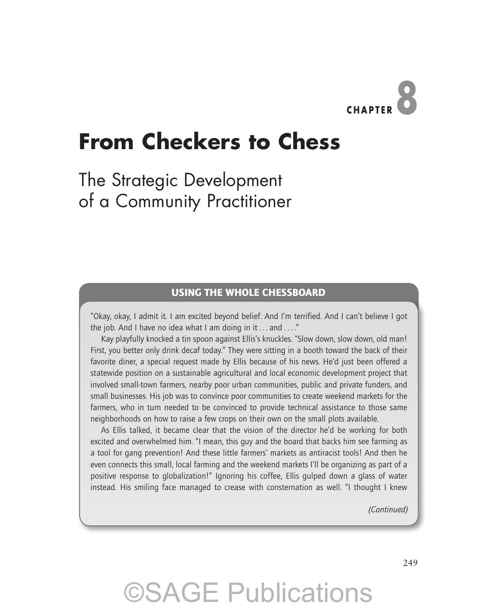

### **From Checkers to Chess**

The Strategic Development of a Community Practitioner

#### USING THE WHOLE CHESSBOARD

"Okay, okay, I admit it. I am excited beyond belief. And I'm terrified. And I can't believe I got the job. And I have no idea what I am doing in it  $\dots$  and  $\dots$ ."

Kay playfully knocked a tin spoon against Ellis's knuckles. "Slow down, slow down, old man! First, you better only drink decaf today." They were sitting in a booth toward the back of their favorite diner, a special request made by Ellis because of his news. He'd just been offered a statewide position on a sustainable agricultural and local economic development project that involved small-town farmers, nearby poor urban communities, public and private funders, and small businesses. His job was to convince poor communities to create weekend markets for the farmers, who in turn needed to be convinced to provide technical assistance to those same neighborhoods on how to raise a few crops on their own on the small plots available.

As Ellis talked, it became clear that the vision of the director he'd be working for both excited and overwhelmed him. "I mean, this guy and the board that backs him see farming as a tool for gang prevention! And these little farmers' markets as antiracist tools! And then he even connects this small, local farming and the weekend markets I'll be organizing as part of a positive response to globalization!" Ignoring his coffee, Ellis gulped down a glass of water instead. His smiling face managed to crease with consternation as well. "I thought I knew

*(Continued)*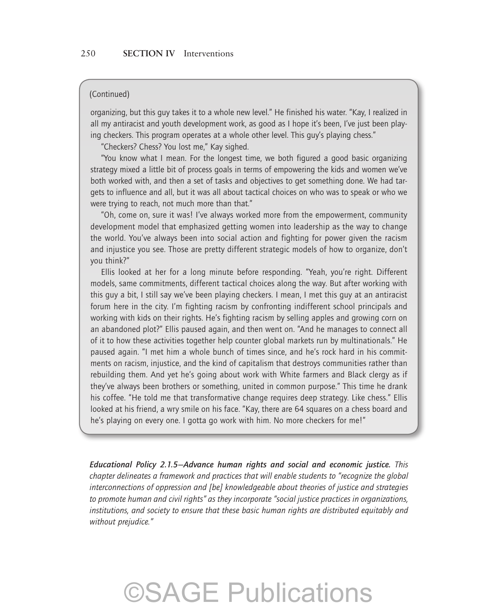#### (Continued)

organizing, but this guy takes it to a whole new level." He finished his water. "Kay, I realized in all my antiracist and youth development work, as good as I hope it's been, I've just been playing checkers. This program operates at a whole other level. This guy's playing chess."

"Checkers? Chess? You lost me," Kay sighed.

"You know what I mean. For the longest time, we both figured a good basic organizing strategy mixed a little bit of process goals in terms of empowering the kids and women we've both worked with, and then a set of tasks and objectives to get something done. We had targets to influence and all, but it was all about tactical choices on who was to speak or who we were trying to reach, not much more than that."

"Oh, come on, sure it was! I've always worked more from the empowerment, community development model that emphasized getting women into leadership as the way to change the world. You've always been into social action and fighting for power given the racism and injustice you see. Those are pretty different strategic models of how to organize, don't you think?"

Ellis looked at her for a long minute before responding. "Yeah, you're right. Different models, same commitments, different tactical choices along the way. But after working with this guy a bit, I still say we've been playing checkers. I mean, I met this guy at an antiracist forum here in the city. I'm fighting racism by confronting indifferent school principals and working with kids on their rights. He's fighting racism by selling apples and growing corn on an abandoned plot?" Ellis paused again, and then went on. "And he manages to connect all of it to how these activities together help counter global markets run by multinationals." He paused again. "I met him a whole bunch of times since, and he's rock hard in his commitments on racism, injustice, and the kind of capitalism that destroys communities rather than rebuilding them. And yet he's going about work with White farmers and Black clergy as if they've always been brothers or something, united in common purpose." This time he drank his coffee. "He told me that transformative change requires deep strategy. Like chess." Ellis looked at his friend, a wry smile on his face. "Kay, there are 64 squares on a chess board and he's playing on every one. I gotta go work with him. No more checkers for me!"

*Educational Policy 2.1.5—Advance human rights and social and economic justice. This chapter delineates a framework and practices that will enable students to "recognize the global interconnections of oppression and [be] knowledgeable about theories of justice and strategies to promote human and civil rights" as they incorporate "social justice practices in organizations,*  institutions, and society to ensure that these basic human rights are distributed equitably and *without prejudice."*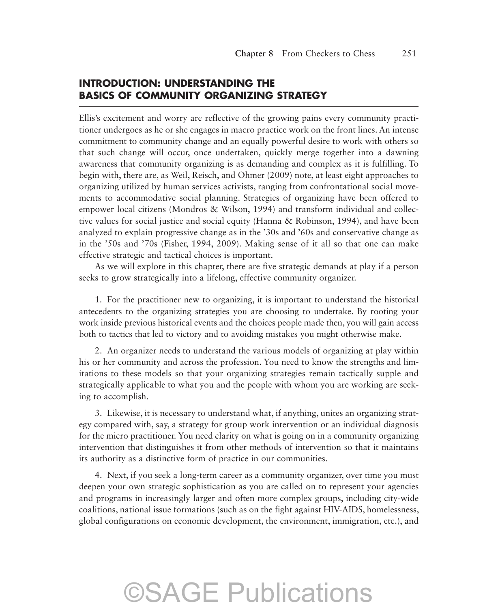#### **INTRODUCTION: UNDERSTANDING THE BASICS OF COMMUNITY ORGANIZING STRATEGY**

Ellis's excitement and worry are reflective of the growing pains every community practitioner undergoes as he or she engages in macro practice work on the front lines. An intense commitment to community change and an equally powerful desire to work with others so that such change will occur, once undertaken, quickly merge together into a dawning awareness that community organizing is as demanding and complex as it is fulfilling. To begin with, there are, as Weil, Reisch, and Ohmer (2009) note, at least eight approaches to organizing utilized by human services activists, ranging from confrontational social movements to accommodative social planning. Strategies of organizing have been offered to empower local citizens (Mondros & Wilson, 1994) and transform individual and collective values for social justice and social equity (Hanna & Robinson, 1994), and have been analyzed to explain progressive change as in the '30s and '60s and conservative change as in the '50s and '70s (Fisher, 1994, 2009). Making sense of it all so that one can make effective strategic and tactical choices is important.

As we will explore in this chapter, there are five strategic demands at play if a person seeks to grow strategically into a lifelong, effective community organizer.

1. For the practitioner new to organizing, it is important to understand the historical antecedents to the organizing strategies you are choosing to undertake. By rooting your work inside previous historical events and the choices people made then, you will gain access both to tactics that led to victory and to avoiding mistakes you might otherwise make.

2. An organizer needs to understand the various models of organizing at play within his or her community and across the profession. You need to know the strengths and limitations to these models so that your organizing strategies remain tactically supple and strategically applicable to what you and the people with whom you are working are seeking to accomplish.

3. Likewise, it is necessary to understand what, if anything, unites an organizing strategy compared with, say, a strategy for group work intervention or an individual diagnosis for the micro practitioner. You need clarity on what is going on in a community organizing intervention that distinguishes it from other methods of intervention so that it maintains its authority as a distinctive form of practice in our communities.

4. Next, if you seek a long-term career as a community organizer, over time you must deepen your own strategic sophistication as you are called on to represent your agencies and programs in increasingly larger and often more complex groups, including city-wide coalitions, national issue formations (such as on the fight against HIV-AIDS, homelessness, global configurations on economic development, the environment, immigration, etc.), and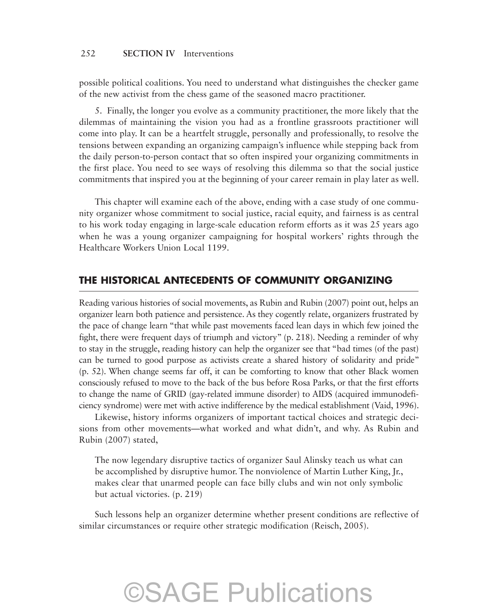#### 252 **SECTION IV** Interventions

possible political coalitions. You need to understand what distinguishes the checker game of the new activist from the chess game of the seasoned macro practitioner.

5. Finally, the longer you evolve as a community practitioner, the more likely that the dilemmas of maintaining the vision you had as a frontline grassroots practitioner will come into play. It can be a heartfelt struggle, personally and professionally, to resolve the tensions between expanding an organizing campaign's influence while stepping back from the daily person-to-person contact that so often inspired your organizing commitments in the first place. You need to see ways of resolving this dilemma so that the social justice commitments that inspired you at the beginning of your career remain in play later as well.

This chapter will examine each of the above, ending with a case study of one community organizer whose commitment to social justice, racial equity, and fairness is as central to his work today engaging in large-scale education reform efforts as it was 25 years ago when he was a young organizer campaigning for hospital workers' rights through the Healthcare Workers Union Local 1199.

#### **THE HISTORICAL ANTECEDENTS OF COMMUNITY ORGANIZING**

Reading various histories of social movements, as Rubin and Rubin (2007) point out, helps an organizer learn both patience and persistence. As they cogently relate, organizers frustrated by the pace of change learn "that while past movements faced lean days in which few joined the fight, there were frequent days of triumph and victory" (p. 218). Needing a reminder of why to stay in the struggle, reading history can help the organizer see that "bad times (of the past) can be turned to good purpose as activists create a shared history of solidarity and pride" (p. 52). When change seems far off, it can be comforting to know that other Black women consciously refused to move to the back of the bus before Rosa Parks, or that the first efforts to change the name of GRID (gay-related immune disorder) to AIDS (acquired immunodeficiency syndrome) were met with active indifference by the medical establishment (Vaid, 1996).

Likewise, history informs organizers of important tactical choices and strategic decisions from other movements—what worked and what didn't, and why. As Rubin and Rubin (2007) stated,

The now legendary disruptive tactics of organizer Saul Alinsky teach us what can be accomplished by disruptive humor. The nonviolence of Martin Luther King, Jr., makes clear that unarmed people can face billy clubs and win not only symbolic but actual victories. (p. 219)

Such lessons help an organizer determine whether present conditions are reflective of similar circumstances or require other strategic modification (Reisch, 2005).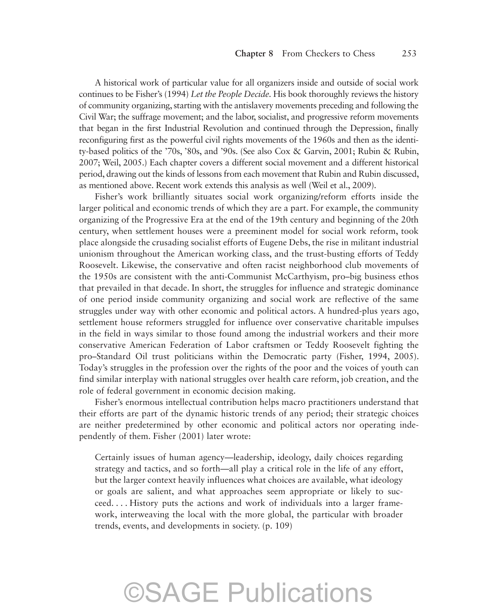A historical work of particular value for all organizers inside and outside of social work continues to be Fisher's (1994) *Let the People Decide.* His book thoroughly reviews the history of community organizing, starting with the antislavery movements preceding and following the Civil War; the suffrage movement; and the labor, socialist, and progressive reform movements that began in the first Industrial Revolution and continued through the Depression, finally reconfiguring first as the powerful civil rights movements of the 1960s and then as the identity-based politics of the '70s, '80s, and '90s. (See also Cox & Garvin, 2001; Rubin & Rubin, 2007; Weil, 2005.) Each chapter covers a different social movement and a different historical period, drawing out the kinds of lessons from each movement that Rubin and Rubin discussed, as mentioned above. Recent work extends this analysis as well (Weil et al., 2009).

Fisher's work brilliantly situates social work organizing/reform efforts inside the larger political and economic trends of which they are a part. For example, the community organizing of the Progressive Era at the end of the 19th century and beginning of the 20th century, when settlement houses were a preeminent model for social work reform, took place alongside the crusading socialist efforts of Eugene Debs, the rise in militant industrial unionism throughout the American working class, and the trust-busting efforts of Teddy Roosevelt. Likewise, the conservative and often racist neighborhood club movements of the 1950s are consistent with the anti-Communist McCarthyism, pro–big business ethos that prevailed in that decade. In short, the struggles for influence and strategic dominance of one period inside community organizing and social work are reflective of the same struggles under way with other economic and political actors. A hundred-plus years ago, settlement house reformers struggled for influence over conservative charitable impulses in the field in ways similar to those found among the industrial workers and their more conservative American Federation of Labor craftsmen or Teddy Roosevelt fighting the pro–Standard Oil trust politicians within the Democratic party (Fisher, 1994, 2005). Today's struggles in the profession over the rights of the poor and the voices of youth can find similar interplay with national struggles over health care reform, job creation, and the role of federal government in economic decision making.

Fisher's enormous intellectual contribution helps macro practitioners understand that their efforts are part of the dynamic historic trends of any period; their strategic choices are neither predetermined by other economic and political actors nor operating independently of them. Fisher (2001) later wrote:

Certainly issues of human agency—leadership, ideology, daily choices regarding strategy and tactics, and so forth—all play a critical role in the life of any effort, but the larger context heavily influences what choices are available, what ideology or goals are salient, and what approaches seem appropriate or likely to succeed. . . . History puts the actions and work of individuals into a larger framework, interweaving the local with the more global, the particular with broader trends, events, and developments in society. (p. 109)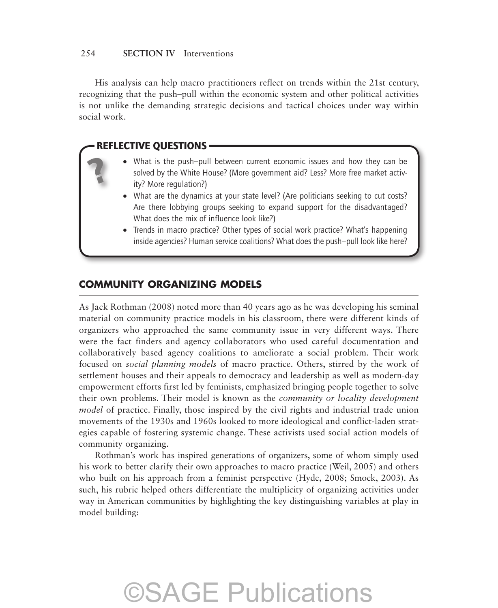#### 254 **SECTION IV** Interventions

His analysis can help macro practitioners reflect on trends within the 21st century, recognizing that the push–pull within the economic system and other political activities is not unlike the demanding strategic decisions and tactical choices under way within social work.

#### REFLECTIVE QUESTIONS

?

- What is the push–pull between current economic issues and how they can be solved by the White House? (More government aid? Less? More free market activity? More regulation?)
- What are the dynamics at your state level? (Are politicians seeking to cut costs? Are there lobbying groups seeking to expand support for the disadvantaged? What does the mix of influence look like?)
- Trends in macro practice? Other types of social work practice? What's happening inside agencies? Human service coalitions? What does the push–pull look like here?

#### **COMMUNITY ORGANIZING MODELS**

As Jack Rothman (2008) noted more than 40 years ago as he was developing his seminal material on community practice models in his classroom, there were different kinds of organizers who approached the same community issue in very different ways. There were the fact finders and agency collaborators who used careful documentation and collaboratively based agency coalitions to ameliorate a social problem. Their work focused on *social planning models* of macro practice. Others, stirred by the work of settlement houses and their appeals to democracy and leadership as well as modern-day empowerment efforts first led by feminists, emphasized bringing people together to solve their own problems. Their model is known as the *community or locality development model* of practice. Finally, those inspired by the civil rights and industrial trade union movements of the 1930s and 1960s looked to more ideological and conflict-laden strategies capable of fostering systemic change. These activists used social action models of community organizing.

Rothman's work has inspired generations of organizers, some of whom simply used his work to better clarify their own approaches to macro practice (Weil, 2005) and others who built on his approach from a feminist perspective (Hyde, 2008; Smock, 2003). As such, his rubric helped others differentiate the multiplicity of organizing activities under way in American communities by highlighting the key distinguishing variables at play in model building: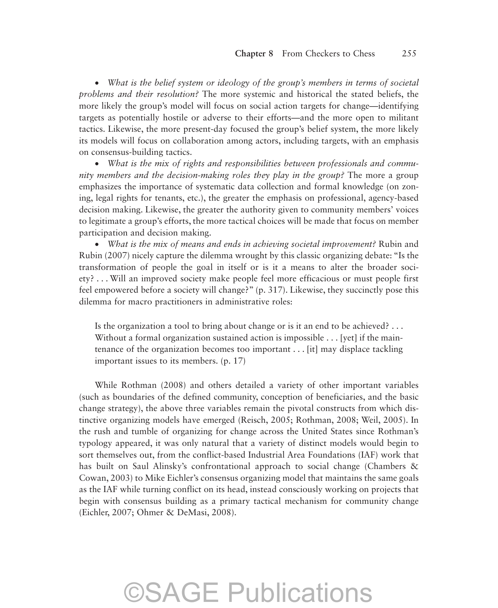• What is the belief system or ideology of the group's members in terms of societal *problems and their resolution?* The more systemic and historical the stated beliefs, the more likely the group's model will focus on social action targets for change—identifying targets as potentially hostile or adverse to their efforts—and the more open to militant tactics. Likewise, the more present-day focused the group's belief system, the more likely its models will focus on collaboration among actors, including targets, with an emphasis on consensus-building tactics.

• *What is the mix of rights and responsibilities between professionals and community members and the decision-making roles they play in the group?* The more a group emphasizes the importance of systematic data collection and formal knowledge (on zoning, legal rights for tenants, etc.), the greater the emphasis on professional, agency-based decision making. Likewise, the greater the authority given to community members' voices to legitimate a group's efforts, the more tactical choices will be made that focus on member participation and decision making.

• *What is the mix of means and ends in achieving societal improvement?* Rubin and Rubin (2007) nicely capture the dilemma wrought by this classic organizing debate: "Is the transformation of people the goal in itself or is it a means to alter the broader society? . . . Will an improved society make people feel more efficacious or must people first feel empowered before a society will change?" (p. 317). Likewise, they succinctly pose this dilemma for macro practitioners in administrative roles:

Is the organization a tool to bring about change or is it an end to be achieved? . . . Without a formal organization sustained action is impossible . . . [yet] if the maintenance of the organization becomes too important . . . [it] may displace tackling important issues to its members. (p. 17)

While Rothman (2008) and others detailed a variety of other important variables (such as boundaries of the defined community, conception of beneficiaries, and the basic change strategy), the above three variables remain the pivotal constructs from which distinctive organizing models have emerged (Reisch, 2005; Rothman, 2008; Weil, 2005). In the rush and tumble of organizing for change across the United States since Rothman's typology appeared, it was only natural that a variety of distinct models would begin to sort themselves out, from the conflict-based Industrial Area Foundations (IAF) work that has built on Saul Alinsky's confrontational approach to social change (Chambers & Cowan, 2003) to Mike Eichler's consensus organizing model that maintains the same goals as the IAF while turning conflict on its head, instead consciously working on projects that begin with consensus building as a primary tactical mechanism for community change (Eichler, 2007; Ohmer & DeMasi, 2008).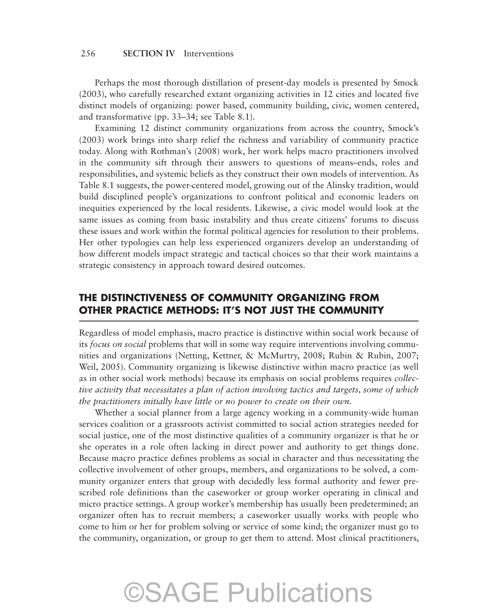#### 256 **SECTION IV** Interventions

Perhaps the most thorough distillation of present-day models is presented by Smock (2003), who carefully researched extant organizing activities in 12 cities and located five distinct models of organizing: power based, community building, civic, women centered, and transformative (pp. 33–34; see Table 8.1).

Examining 12 distinct community organizations from across the country, Smock's (2003) work brings into sharp relief the richness and variability of community practice today. Along with Rothman's (2008) work, her work helps macro practitioners involved in the community sift through their answers to questions of means–ends, roles and responsibilities, and systemic beliefs as they construct their own models of intervention. As Table 8.1 suggests, the power-centered model, growing out of the Alinsky tradition, would build disciplined people's organizations to confront political and economic leaders on inequities experienced by the local residents. Likewise, a civic model would look at the same issues as coming from basic instability and thus create citizens' forums to discuss these issues and work within the formal political agencies for resolution to their problems. Her other typologies can help less experienced organizers develop an understanding of how different models impact strategic and tactical choices so that their work maintains a strategic consistency in approach toward desired outcomes.

### **THE DISTINCTIVENESS OF COMMUNITY ORGANIZING FROM OTHER PRACTICE METHODS: IT'S NOT JUST THE COMMUNITY**

Regardless of model emphasis, macro practice is distinctive within social work because of its *focus on social* problems that will in some way require interventions involving communities and organizations (Netting, Kettner, & McMurtry, 2008; Rubin & Rubin, 2007; Weil, 2005). Community organizing is likewise distinctive within macro practice (as well as in other social work methods) because its emphasis on social problems requires *collective activity that necessitates a plan of action involving tactics and targets, some of which the practitioners initially have little or no power to create on their own.*

Whether a social planner from a large agency working in a community-wide human services coalition or a grassroots activist committed to social action strategies needed for social justice, one of the most distinctive qualities of a community organizer is that he or she operates in a role often lacking in direct power and authority to get things done. Because macro practice defines problems as social in character and thus necessitating the collective involvement of other groups, members, and organizations to be solved, a community organizer enters that group with decidedly less formal authority and fewer prescribed role definitions than the caseworker or group worker operating in clinical and micro practice settings. A group worker's membership has usually been predetermined; an organizer often has to recruit members; a caseworker usually works with people who come to him or her for problem solving or service of some kind; the organizer must go to the community, organization, or group to get them to attend. Most clinical practitioners,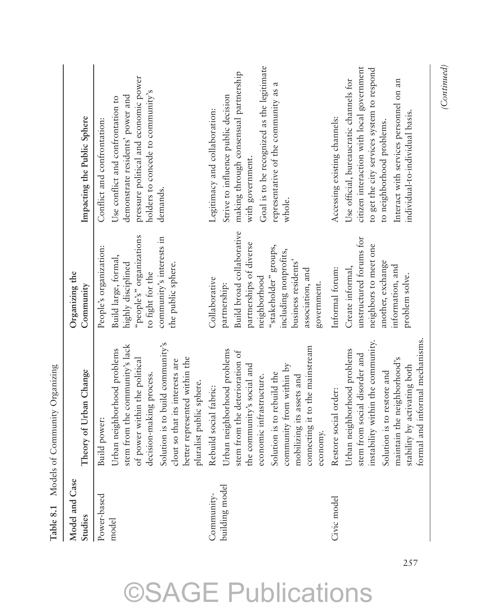| Model and Case<br>Studies    | Theory of Urban Change                                                                                                                                                                                                                                                                  | Organizing the<br>Community                                                                                                                                                                                       | Impacting the Public Sphere                                                                                                                                                                                                                                                  |
|------------------------------|-----------------------------------------------------------------------------------------------------------------------------------------------------------------------------------------------------------------------------------------------------------------------------------------|-------------------------------------------------------------------------------------------------------------------------------------------------------------------------------------------------------------------|------------------------------------------------------------------------------------------------------------------------------------------------------------------------------------------------------------------------------------------------------------------------------|
| Power-based<br>model         | Solution is to build community's<br>stem from the community's lack<br>Urban neighborhood problems<br>better represented within the<br>of power within the political<br>clout so that its interests are<br>decision-making process.<br>pluralist public sphere.<br>d power:<br>Buil      | "people's" organizations<br>community's interests in<br>People's organization:<br>Build large, formal,<br>the public sphere.<br>highly disciplined<br>to fight for the                                            | pressure political and economic power<br>holders to concede to community's<br>demonstrate residents' power and<br>Use conflict and confrontation to<br>Conflict and confrontation:<br>demands.                                                                               |
| building model<br>Community- | connecting it to the mainstream<br>Urban neighborhood problems<br>stem from the deterioration of<br>the community's social and<br>community from within by<br>Solution is to rebuild the<br>economic infrastructure.<br>mobilizing its assets and<br>Rebuild social fabric:<br>economy. | Build broad collaborative<br>partnerships of diverse<br>"stakeholder" groups,<br>including nonprofits,<br>business residents'<br>association, and<br>neighborhood<br>Collaborative<br>government.<br>partnership: | Goal is to be recognized as the legitimate<br>making through consensual partnership<br>a<br>representative of the community as<br>Strive to influence public decision<br>Legitimacy and collaboration:<br>with government.<br>whole.                                         |
| Civic model                  | formal and informal mechanisms.<br>instability within the community.<br>Urban neighborhood problems<br>stem from social disorder and<br>maintain the neighborhood's<br>stability by activating both<br>Solution is to restore and<br>Restore social order:                              | unstructured forums for<br>neighbors to meet one<br>another, exchange<br>information, and<br>Create informal,<br>Informal forum:<br>problem solve.                                                                | citizen interaction with local government<br>to get the city services system to respond<br>Use official, bureaucratic channels for<br>Interact with services personnel on an<br>individual-to-individual basis.<br>Accessing existing channels:<br>to neighborhood problems. |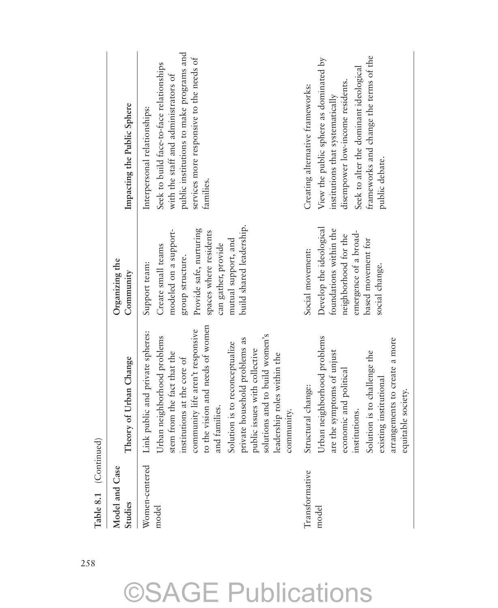| (Continued)<br>lable 8.1  |                                                                                                                                                                                                                                                                                                                                                                                                           |                                                                                                                                                                                                                 |                                                                                                                                                                                                                                                          |
|---------------------------|-----------------------------------------------------------------------------------------------------------------------------------------------------------------------------------------------------------------------------------------------------------------------------------------------------------------------------------------------------------------------------------------------------------|-----------------------------------------------------------------------------------------------------------------------------------------------------------------------------------------------------------------|----------------------------------------------------------------------------------------------------------------------------------------------------------------------------------------------------------------------------------------------------------|
| Model and Case<br>Studies | Theory of Urban Change                                                                                                                                                                                                                                                                                                                                                                                    | Organizing the<br>Community                                                                                                                                                                                     | Impacting the Public Sphere                                                                                                                                                                                                                              |
| Women-centered<br>model   | to the vision and needs of women<br>community life aren't responsive<br>Link public and private spheres:<br>solutions and to build women's<br>Urban neighborhood problems<br>private household problems as<br>Solution is to reconceptualize<br>public issues with collective<br>stem from the fact that the<br>leadership roles within the<br>institutions at the core of<br>and families.<br>community. | build shared leadership.<br>Provide safe, nurturing<br>modeled on a support-<br>spaces where residents<br>mutual support, and<br>can gather, provide<br>Create small teams<br>group structure.<br>Support team: | public institutions to make programs and<br>services more responsive to the needs of<br>Seek to build face-to-face relationships<br>with the staff and administrators of<br>Interpersonal relationships:<br>families.                                    |
| Transformative<br>model   | Urban neighborhood problems<br>arrangements to create a more<br>are the symptoms of unjust<br>Solution is to challenge the<br>economic and political<br>existing institutional<br>Structural change:<br>equitable society.<br>institutions.                                                                                                                                                               | Develop the ideological<br>foundations within the<br>emergence of a broad-<br>neighborhood for the<br>based movement for<br>Social movement:<br>social change.                                                  | frameworks and change the terms of the<br>View the public sphere as dominated by<br>Seek to alter the dominant ideological<br>disempower low-income residents.<br>Creating alternative frameworks:<br>institutions that systematically<br>public debate. |

 $\overline{\mathcal{A}}$ **Table 8.1** (Continued)  $\sqrt{C}$ Table  $\Omega$  1

258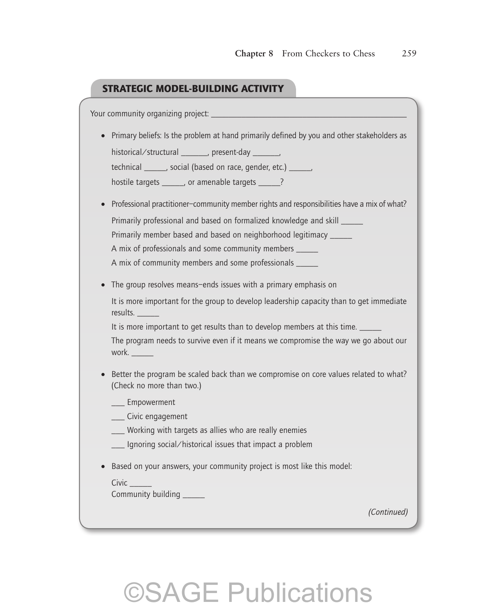| <b>STRATEGIC MODEL-BUILDING ACTIVITY</b> |  |  |  |
|------------------------------------------|--|--|--|
|------------------------------------------|--|--|--|

| Your community organizing project: _________                                                                      |
|-------------------------------------------------------------------------------------------------------------------|
| • Primary beliefs: Is the problem at hand primarily defined by you and other stakeholders as                      |
| historical/structural ________, present-day _______,                                                              |
| technical ______, social (based on race, gender, etc.) ______,                                                    |
| hostile targets ______, or amenable targets _____?                                                                |
| Professional practitioner-community member rights and responsibilities have a mix of what?                        |
| Primarily professional and based on formalized knowledge and skill _____                                          |
| Primarily member based and based on neighborhood legitimacy _____                                                 |
| A mix of professionals and some community members _____                                                           |
| A mix of community members and some professionals ______                                                          |
| The group resolves means-ends issues with a primary emphasis on                                                   |
| It is more important for the group to develop leadership capacity than to get immediate<br>results.               |
| It is more important to get results than to develop members at this time. _____                                   |
| The program needs to survive even if it means we compromise the way we go about our<br>work. $\_\_$               |
| Better the program be scaled back than we compromise on core values related to what?<br>(Check no more than two.) |
| ___ Empowerment                                                                                                   |
| __ Civic engagement                                                                                               |
| ___ Working with targets as allies who are really enemies                                                         |
| __ Ignoring social/historical issues that impact a problem                                                        |
| Based on your answers, your community project is most like this model:                                            |
| Civic                                                                                                             |
| Community building _____                                                                                          |
| (Continued)                                                                                                       |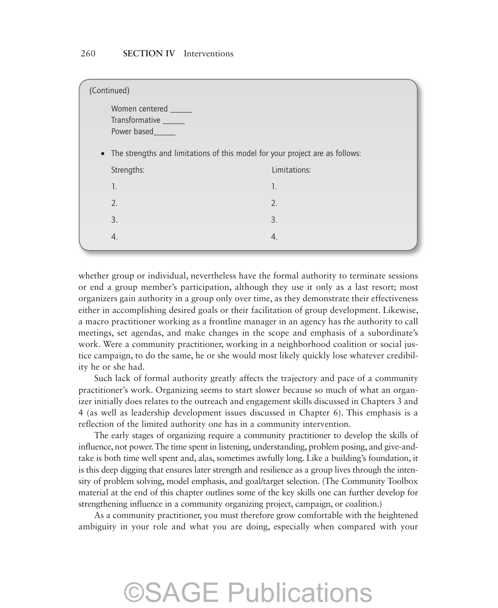| (Continued)                                                                    |                  |
|--------------------------------------------------------------------------------|------------------|
| Women centered<br>Transformative<br>Power based                                |                  |
| • The strengths and limitations of this model for your project are as follows: |                  |
| Strengths:                                                                     | Limitations:     |
| 1.                                                                             | 1.               |
| 2.                                                                             | 2.               |
| 3.                                                                             | 3.               |
| 4.                                                                             | $\overline{4}$ . |

whether group or individual, nevertheless have the formal authority to terminate sessions or end a group member's participation, although they use it only as a last resort; most organizers gain authority in a group only over time, as they demonstrate their effectiveness either in accomplishing desired goals or their facilitation of group development. Likewise, a macro practitioner working as a frontline manager in an agency has the authority to call meetings, set agendas, and make changes in the scope and emphasis of a subordinate's work. Were a community practitioner, working in a neighborhood coalition or social justice campaign, to do the same, he or she would most likely quickly lose whatever credibility he or she had.

Such lack of formal authority greatly affects the trajectory and pace of a community practitioner's work. Organizing seems to start slower because so much of what an organizer initially does relates to the outreach and engagement skills discussed in Chapters 3 and 4 (as well as leadership development issues discussed in Chapter 6). This emphasis is a reflection of the limited authority one has in a community intervention.

The early stages of organizing require a community practitioner to develop the skills of influence, not power. The time spent in listening, understanding, problem posing, and give-andtake is both time well spent and, alas, sometimes awfully long. Like a building's foundation, it is this deep digging that ensures later strength and resilience as a group lives through the intensity of problem solving, model emphasis, and goal/target selection. (The Community Toolbox material at the end of this chapter outlines some of the key skills one can further develop for strengthening influence in a community organizing project, campaign, or coalition.)

As a community practitioner, you must therefore grow comfortable with the heightened ambiguity in your role and what you are doing, especially when compared with your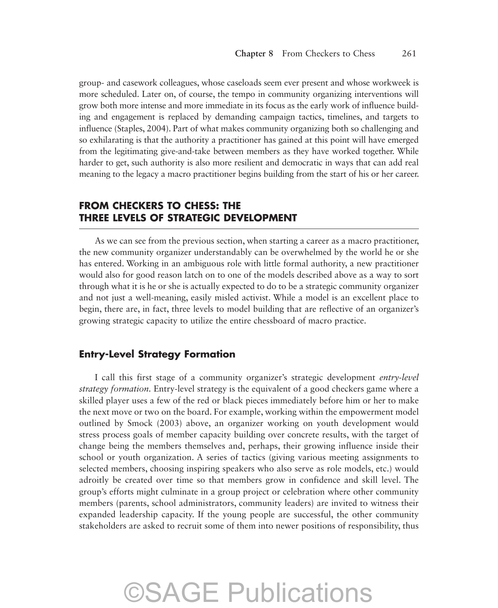group- and casework colleagues, whose caseloads seem ever present and whose workweek is more scheduled. Later on, of course, the tempo in community organizing interventions will grow both more intense and more immediate in its focus as the early work of influence building and engagement is replaced by demanding campaign tactics, timelines, and targets to influence (Staples, 2004). Part of what makes community organizing both so challenging and so exhilarating is that the authority a practitioner has gained at this point will have emerged from the legitimating give-and-take between members as they have worked together. While harder to get, such authority is also more resilient and democratic in ways that can add real meaning to the legacy a macro practitioner begins building from the start of his or her career.

#### **FROM CHECKERS TO CHESS: THE THREE LEVELS OF STRATEGIC DEVELOPMENT**

As we can see from the previous section, when starting a career as a macro practitioner, the new community organizer understandably can be overwhelmed by the world he or she has entered. Working in an ambiguous role with little formal authority, a new practitioner would also for good reason latch on to one of the models described above as a way to sort through what it is he or she is actually expected to do to be a strategic community organizer and not just a well-meaning, easily misled activist. While a model is an excellent place to begin, there are, in fact, three levels to model building that are reflective of an organizer's growing strategic capacity to utilize the entire chessboard of macro practice.

#### **Entry-Level Strategy Formation**

I call this first stage of a community organizer's strategic development *entry-level strategy formation.* Entry-level strategy is the equivalent of a good checkers game where a skilled player uses a few of the red or black pieces immediately before him or her to make the next move or two on the board. For example, working within the empowerment model outlined by Smock (2003) above, an organizer working on youth development would stress process goals of member capacity building over concrete results, with the target of change being the members themselves and, perhaps, their growing influence inside their school or youth organization. A series of tactics (giving various meeting assignments to selected members, choosing inspiring speakers who also serve as role models, etc.) would adroitly be created over time so that members grow in confidence and skill level. The group's efforts might culminate in a group project or celebration where other community members (parents, school administrators, community leaders) are invited to witness their expanded leadership capacity. If the young people are successful, the other community stakeholders are asked to recruit some of them into newer positions of responsibility, thus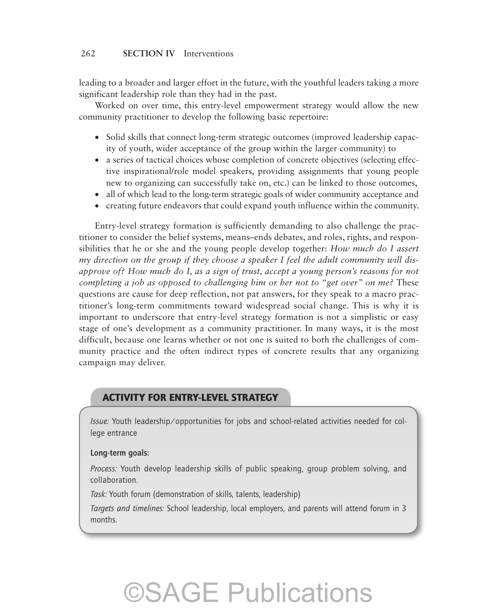leading to a broader and larger effort in the future, with the youthful leaders taking a more significant leadership role than they had in the past.

Worked on over time, this entry-level empowerment strategy would allow the new community practitioner to develop the following basic repertoire:

- Solid skills that connect long-term strategic outcomes (improved leadership capacity of youth, wider acceptance of the group within the larger community) to
- a series of tactical choices whose completion of concrete objectives (selecting effective inspirational/role model speakers, providing assignments that young people new to organizing can successfully take on, etc.) can be linked to those outcomes,
- all of which lead to the long-term strategic goals of wider community acceptance and
- creating future endeavors that could expand youth influence within the community.

Entry-level strategy formation is sufficiently demanding to also challenge the practitioner to consider the belief systems, means–ends debates, and roles, rights, and responsibilities that he or she and the young people develop together: *How much do I assert my direction on the group if they choose a speaker I feel the adult community will disapprove of? How much do I, as a sign of trust, accept a young person's reasons for not completing a job as opposed to challenging him or her not to "get over" on me?* These questions are cause for deep reflection, not pat answers, for they speak to a macro practitioner's long-term commitments toward widespread social change. This is why it is important to underscore that entry-level strategy formation is not a simplistic or easy stage of one's development as a community practitioner. In many ways, it is the most difficult, because one learns whether or not one is suited to both the challenges of community practice and the often indirect types of concrete results that any organizing campaign may deliver.

### ACTIVITY FOR ENTRY-LEVEL STRATEGY FORMATION

*Issue:* Youth leadership/opportunities for jobs and school-related activities needed for college entrance

#### Long-term goals:

*Process:* Youth develop leadership skills of public speaking, group problem solving, and collaboration.

*Task:* Youth forum (demonstration of skills, talents, leadership)

*Targets and timelines:* School leadership, local employers, and parents will attend forum in 3 months.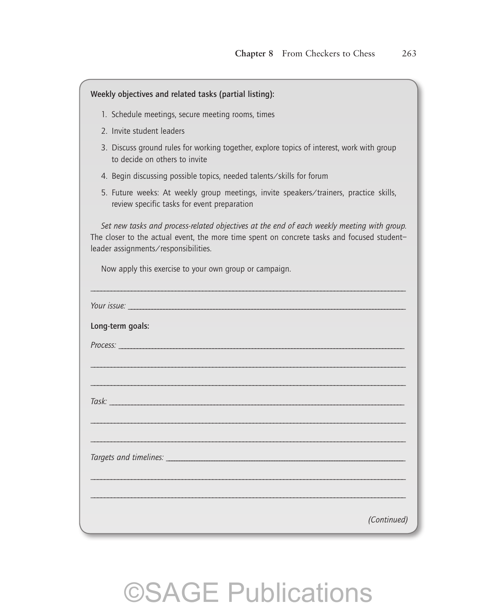| Weekly objectives and related tasks (partial listing):                                                                                                                                                                                                   |
|----------------------------------------------------------------------------------------------------------------------------------------------------------------------------------------------------------------------------------------------------------|
| 1. Schedule meetings, secure meeting rooms, times                                                                                                                                                                                                        |
| 2. Invite student leaders                                                                                                                                                                                                                                |
| 3. Discuss ground rules for working together, explore topics of interest, work with group<br>to decide on others to invite                                                                                                                               |
| 4. Begin discussing possible topics, needed talents/skills for forum                                                                                                                                                                                     |
| 5. Future weeks: At weekly group meetings, invite speakers/trainers, practice skills,<br>review specific tasks for event preparation                                                                                                                     |
| Set new tasks and process-related objectives at the end of each weekly meeting with group.<br>The closer to the actual event, the more time spent on concrete tasks and focused student-<br>leader assignments/responsibilities.                         |
| Now apply this exercise to your own group or campaign.                                                                                                                                                                                                   |
| Your issue: <u>contract the contract of the contract of the contract of the contract of the contract of the contract of the contract of the contract of the contract of the contract of the contract of the contract of the cont</u><br>Long-term goals: |
|                                                                                                                                                                                                                                                          |
|                                                                                                                                                                                                                                                          |
| (Continued)                                                                                                                                                                                                                                              |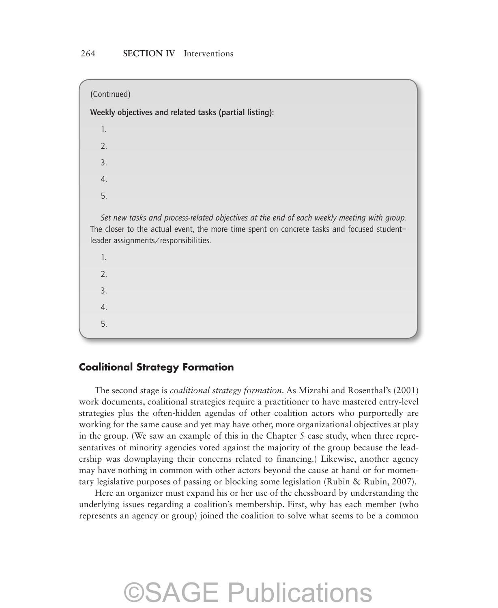

#### **Coalitional Strategy Formation**

The second stage is *coalitional strategy formation.* As Mizrahi and Rosenthal's (2001) work documents, coalitional strategies require a practitioner to have mastered entry-level strategies plus the often-hidden agendas of other coalition actors who purportedly are working for the same cause and yet may have other, more organizational objectives at play in the group. (We saw an example of this in the Chapter 5 case study, when three representatives of minority agencies voted against the majority of the group because the leadership was downplaying their concerns related to financing.) Likewise, another agency may have nothing in common with other actors beyond the cause at hand or for momentary legislative purposes of passing or blocking some legislation (Rubin & Rubin, 2007).

Here an organizer must expand his or her use of the chessboard by understanding the underlying issues regarding a coalition's membership. First, why has each member (who represents an agency or group) joined the coalition to solve what seems to be a common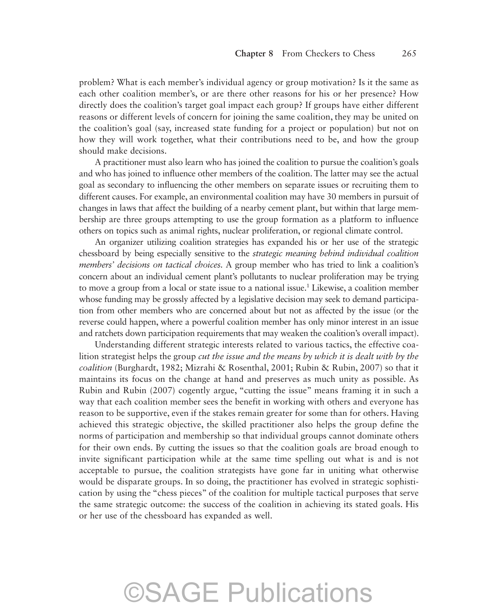problem? What is each member's individual agency or group motivation? Is it the same as each other coalition member's, or are there other reasons for his or her presence? How directly does the coalition's target goal impact each group? If groups have either different reasons or different levels of concern for joining the same coalition, they may be united on the coalition's goal (say, increased state funding for a project or population) but not on how they will work together, what their contributions need to be, and how the group should make decisions.

A practitioner must also learn who has joined the coalition to pursue the coalition's goals and who has joined to influence other members of the coalition. The latter may see the actual goal as secondary to influencing the other members on separate issues or recruiting them to different causes. For example, an environmental coalition may have 30 members in pursuit of changes in laws that affect the building of a nearby cement plant, but within that large membership are three groups attempting to use the group formation as a platform to influence others on topics such as animal rights, nuclear proliferation, or regional climate control.

An organizer utilizing coalition strategies has expanded his or her use of the strategic chessboard by being especially sensitive to the *strategic meaning behind individual coalition members' decisions on tactical choices.* A group member who has tried to link a coalition's concern about an individual cement plant's pollutants to nuclear proliferation may be trying to move a group from a local or state issue to a national issue.<sup>1</sup> Likewise, a coalition member whose funding may be grossly affected by a legislative decision may seek to demand participation from other members who are concerned about but not as affected by the issue (or the reverse could happen, where a powerful coalition member has only minor interest in an issue and ratchets down participation requirements that may weaken the coalition's overall impact).

Understanding different strategic interests related to various tactics, the effective coalition strategist helps the group *cut the issue and the means by which it is dealt with by the coalition* (Burghardt, 1982; Mizrahi & Rosenthal, 2001; Rubin & Rubin, 2007) so that it maintains its focus on the change at hand and preserves as much unity as possible. As Rubin and Rubin (2007) cogently argue, "cutting the issue" means framing it in such a way that each coalition member sees the benefit in working with others and everyone has reason to be supportive, even if the stakes remain greater for some than for others. Having achieved this strategic objective, the skilled practitioner also helps the group define the norms of participation and membership so that individual groups cannot dominate others for their own ends. By cutting the issues so that the coalition goals are broad enough to invite significant participation while at the same time spelling out what is and is not acceptable to pursue, the coalition strategists have gone far in uniting what otherwise would be disparate groups. In so doing, the practitioner has evolved in strategic sophistication by using the "chess pieces" of the coalition for multiple tactical purposes that serve the same strategic outcome: the success of the coalition in achieving its stated goals. His or her use of the chessboard has expanded as well.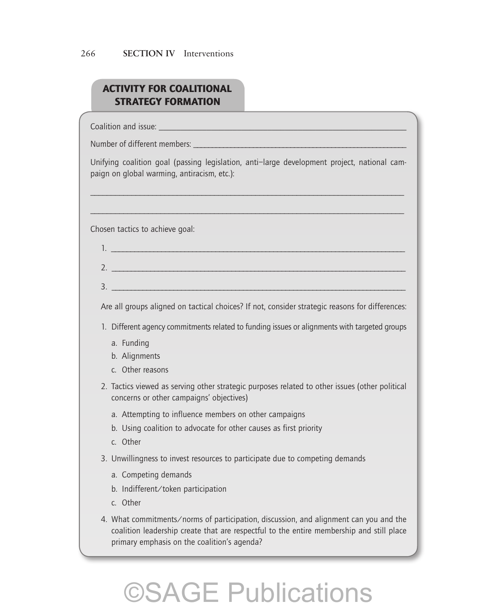### ACTIVITY FOR COALITIONAL STRATEGY FORMATION

Coalition and issue:

Number of different members: \_\_\_\_\_\_\_\_\_\_\_\_\_\_\_\_\_\_\_\_\_\_\_\_\_\_\_\_\_\_\_\_\_\_\_\_\_\_\_\_\_\_\_\_\_\_\_\_\_\_\_\_\_\_\_\_\_

Unifying coalition goal (passing legislation, anti–large development project, national campaign on global warming, antiracism, etc.):

\_\_\_\_\_\_\_\_\_\_\_\_\_\_\_\_\_\_\_\_\_\_\_\_\_\_\_\_\_\_\_\_\_\_\_\_\_\_\_\_\_\_\_\_\_\_\_\_\_\_\_\_\_\_\_\_\_\_\_\_\_\_\_\_\_\_\_\_\_\_\_\_\_\_\_\_

\_\_\_\_\_\_\_\_\_\_\_\_\_\_\_\_\_\_\_\_\_\_\_\_\_\_\_\_\_\_\_\_\_\_\_\_\_\_\_\_\_\_\_\_\_\_\_\_\_\_\_\_\_\_\_\_\_\_\_\_\_\_\_\_\_\_\_\_\_\_\_\_\_\_\_\_

Chosen tactics to achieve goal:

| 2.                                                                                                                                                                                                                               |
|----------------------------------------------------------------------------------------------------------------------------------------------------------------------------------------------------------------------------------|
| $\overline{\mathbf{3}}$ .                                                                                                                                                                                                        |
| Are all groups aligned on tactical choices? If not, consider strategic reasons for differences:                                                                                                                                  |
| 1. Different agency commitments related to funding issues or alignments with targeted groups<br>a. Funding<br>b. Alignments<br>c. Other reasons                                                                                  |
| 2. Tactics viewed as serving other strategic purposes related to other issues (other political<br>concerns or other campaigns' objectives)                                                                                       |
| a. Attempting to influence members on other campaigns<br>b. Using coalition to advocate for other causes as first priority<br>c. Other                                                                                           |
| 3. Unwillingness to invest resources to participate due to competing demands                                                                                                                                                     |
| a. Competing demands                                                                                                                                                                                                             |
| b. Indifferent/token participation                                                                                                                                                                                               |
| c. Other                                                                                                                                                                                                                         |
| 4. What commitments/norms of participation, discussion, and alignment can you and the<br>coalition leadership create that are respectful to the entire membership and still place<br>primary emphasis on the coalition's agenda? |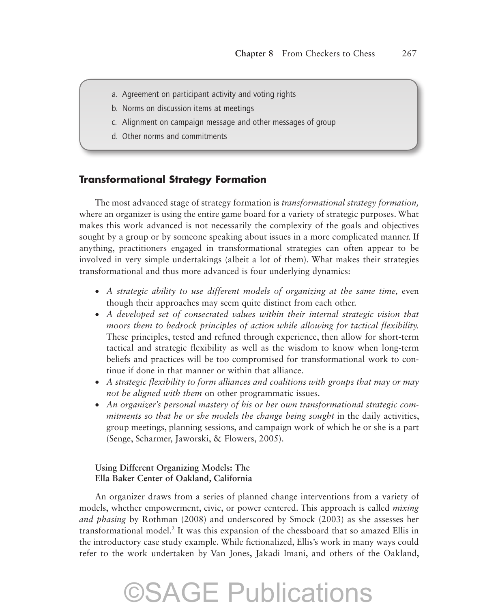- a. Agreement on participant activity and voting rights
- b. Norms on discussion items at meetings
- c. Alignment on campaign message and other messages of group
- d. Other norms and commitments

#### **Transformational Strategy Formation**

The most advanced stage of strategy formation is *transformational strategy formation,* where an organizer is using the entire game board for a variety of strategic purposes. What makes this work advanced is not necessarily the complexity of the goals and objectives sought by a group or by someone speaking about issues in a more complicated manner. If anything, practitioners engaged in transformational strategies can often appear to be involved in very simple undertakings (albeit a lot of them). What makes their strategies transformational and thus more advanced is four underlying dynamics:

- *A strategic ability to use different models of organizing at the same time,* even though their approaches may seem quite distinct from each other.
- *A developed set of consecrated values within their internal strategic vision that moors them to bedrock principles of action while allowing for tactical flexibility.* These principles, tested and refined through experience, then allow for short-term tactical and strategic flexibility as well as the wisdom to know when long-term beliefs and practices will be too compromised for transformational work to continue if done in that manner or within that alliance.
- *A strategic flexibility to form alliances and coalitions with groups that may or may not be aligned with them* on other programmatic issues.
- *An organizer's personal mastery of his or her own transformational strategic commitments so that he or she models the change being sought* in the daily activities, group meetings, planning sessions, and campaign work of which he or she is a part (Senge, Scharmer, Jaworski, & Flowers, 2005).

#### **Using Different Organizing Models: The Ella Baker Center of Oakland, California**

An organizer draws from a series of planned change interventions from a variety of models, whether empowerment, civic, or power centered. This approach is called *mixing and phasing* by Rothman (2008) and underscored by Smock (2003) as she assesses her transformational model.<sup>2</sup> It was this expansion of the chessboard that so amazed Ellis in the introductory case study example. While fictionalized, Ellis's work in many ways could refer to the work undertaken by Van Jones, Jakadi Imani, and others of the Oakland,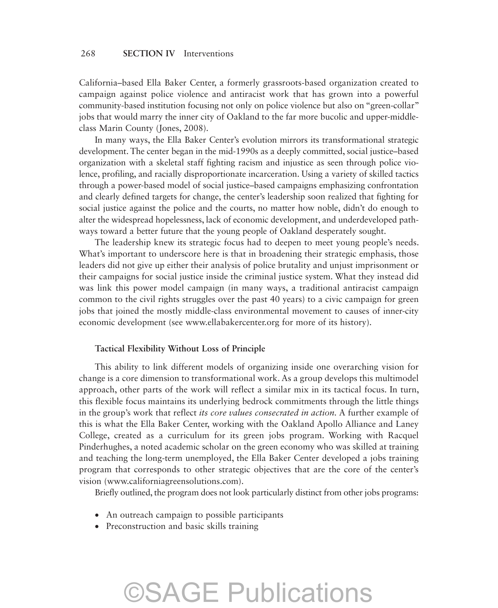California–based Ella Baker Center, a formerly grassroots-based organization created to campaign against police violence and antiracist work that has grown into a powerful community-based institution focusing not only on police violence but also on "green-collar" jobs that would marry the inner city of Oakland to the far more bucolic and upper-middleclass Marin County (Jones, 2008).

In many ways, the Ella Baker Center's evolution mirrors its transformational strategic development. The center began in the mid-1990s as a deeply committed, social justice–based organization with a skeletal staff fighting racism and injustice as seen through police violence, profiling, and racially disproportionate incarceration. Using a variety of skilled tactics through a power-based model of social justice–based campaigns emphasizing confrontation and clearly defined targets for change, the center's leadership soon realized that fighting for social justice against the police and the courts, no matter how noble, didn't do enough to alter the widespread hopelessness, lack of economic development, and underdeveloped pathways toward a better future that the young people of Oakland desperately sought.

The leadership knew its strategic focus had to deepen to meet young people's needs. What's important to underscore here is that in broadening their strategic emphasis, those leaders did not give up either their analysis of police brutality and unjust imprisonment or their campaigns for social justice inside the criminal justice system. What they instead did was link this power model campaign (in many ways, a traditional antiracist campaign common to the civil rights struggles over the past 40 years) to a civic campaign for green jobs that joined the mostly middle-class environmental movement to causes of inner-city economic development (see www.ellabakercenter.org for more of its history).

#### **Tactical Flexibility Without Loss of Principle**

This ability to link different models of organizing inside one overarching vision for change is a core dimension to transformational work. As a group develops this multimodel approach, other parts of the work will reflect a similar mix in its tactical focus. In turn, this flexible focus maintains its underlying bedrock commitments through the little things in the group's work that reflect *its core values consecrated in action.* A further example of this is what the Ella Baker Center, working with the Oakland Apollo Alliance and Laney College, created as a curriculum for its green jobs program. Working with Racquel Pinderhughes, a noted academic scholar on the green economy who was skilled at training and teaching the long-term unemployed, the Ella Baker Center developed a jobs training program that corresponds to other strategic objectives that are the core of the center's vision (www.californiagreensolutions.com).

Briefly outlined, the program does not look particularly distinct from other jobs programs:

- An outreach campaign to possible participants
- Preconstruction and basic skills training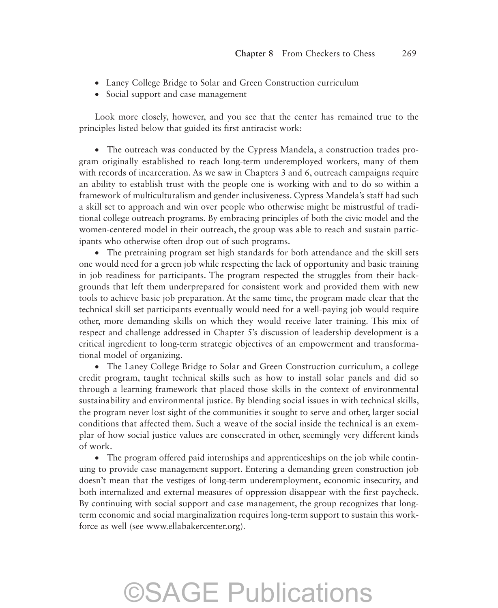- Laney College Bridge to Solar and Green Construction curriculum
- Social support and case management

Look more closely, however, and you see that the center has remained true to the principles listed below that guided its first antiracist work:

• The outreach was conducted by the Cypress Mandela, a construction trades program originally established to reach long-term underemployed workers, many of them with records of incarceration. As we saw in Chapters 3 and 6, outreach campaigns require an ability to establish trust with the people one is working with and to do so within a framework of multiculturalism and gender inclusiveness. Cypress Mandela's staff had such a skill set to approach and win over people who otherwise might be mistrustful of traditional college outreach programs. By embracing principles of both the civic model and the women-centered model in their outreach, the group was able to reach and sustain participants who otherwise often drop out of such programs.

• The pretraining program set high standards for both attendance and the skill sets one would need for a green job while respecting the lack of opportunity and basic training in job readiness for participants. The program respected the struggles from their backgrounds that left them underprepared for consistent work and provided them with new tools to achieve basic job preparation. At the same time, the program made clear that the technical skill set participants eventually would need for a well-paying job would require other, more demanding skills on which they would receive later training. This mix of respect and challenge addressed in Chapter 5's discussion of leadership development is a critical ingredient to long-term strategic objectives of an empowerment and transformational model of organizing.

• The Laney College Bridge to Solar and Green Construction curriculum, a college credit program, taught technical skills such as how to install solar panels and did so through a learning framework that placed those skills in the context of environmental sustainability and environmental justice. By blending social issues in with technical skills, the program never lost sight of the communities it sought to serve and other, larger social conditions that affected them. Such a weave of the social inside the technical is an exemplar of how social justice values are consecrated in other, seemingly very different kinds of work.

• The program offered paid internships and apprenticeships on the job while continuing to provide case management support. Entering a demanding green construction job doesn't mean that the vestiges of long-term underemployment, economic insecurity, and both internalized and external measures of oppression disappear with the first paycheck. By continuing with social support and case management, the group recognizes that longterm economic and social marginalization requires long-term support to sustain this workforce as well (see www.ellabakercenter.org).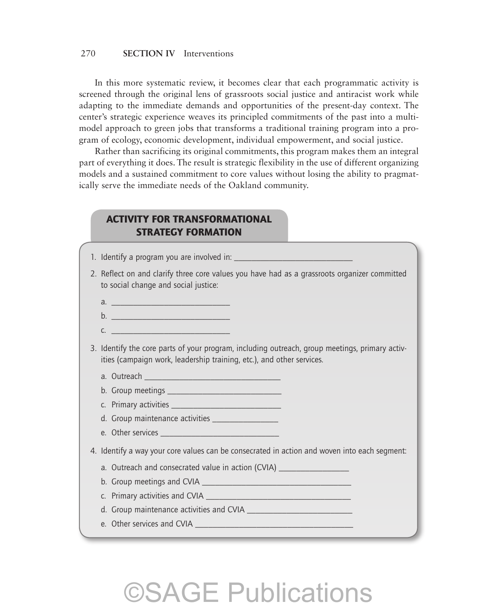#### 270 **SECTION IV** Interventions

In this more systematic review, it becomes clear that each programmatic activity is screened through the original lens of grassroots social justice and antiracist work while adapting to the immediate demands and opportunities of the present-day context. The center's strategic experience weaves its principled commitments of the past into a multimodel approach to green jobs that transforms a traditional training program into a program of ecology, economic development, individual empowerment, and social justice.

Rather than sacrificing its original commitments, this program makes them an integral part of everything it does. The result is strategic flexibility in the use of different organizing models and a sustained commitment to core values without losing the ability to pragmatically serve the immediate needs of the Oakland community.

#### ACTIVITY FOR TRANSFORMATIONAL STRATEGY FORMATION

- 1. Identify a program you are involved in:
- 2. Reflect on and clarify three core values you have had as a grassroots organizer committed to social change and social justice:
	- a. \_\_\_\_\_\_\_\_\_\_\_\_\_\_\_\_\_\_\_\_\_\_\_\_\_\_\_
	- $b.$
	- $c.$
- 3. Identify the core parts of your program, including outreach, group meetings, primary activities (campaign work, leadership training, etc.), and other services.
	- a. Outreach **and a structure of the structure of the structure**
	- b. Group meetings
	- c. Primary activities
	- d. Group maintenance activities \_\_\_\_\_\_\_\_\_\_\_\_\_\_\_
	- e. Other services **and the services**

4. Identify a way your core values can be consecrated in action and woven into each segment:

- a. Outreach and consecrated value in action (CVIA)
- b. Group meetings and CVIA  $\Box$
- c. Primary activities and CVIA
- d. Group maintenance activities and CVIA \_\_\_\_\_\_\_\_\_\_\_\_\_\_\_\_\_\_\_\_\_\_\_\_
- e. Other services and CVIA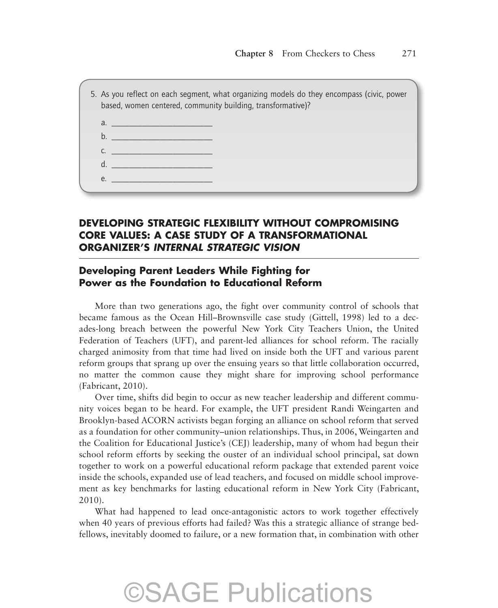5. As you reflect on each segment, what organizing models do they encompass (civic, power based, women centered, community building, transformative)?  $a$ b. \_\_\_\_\_\_\_\_\_\_\_\_\_\_\_\_\_\_\_\_\_\_\_ c. \_\_\_\_\_\_\_\_\_\_\_\_\_\_\_\_\_\_\_\_\_\_\_ d. \_\_\_\_\_\_\_\_\_\_\_\_\_\_\_\_\_\_\_\_\_\_\_  $e.$ 

### **DEVELOPING STRATEGIC FLEXIBILITY WITHOUT COMPROMISING CORE VALUES: A CASE STUDY OF A TRANSFORMATIONAL ORGANIZER'S** *INTERNAL STRATEGIC VISION*

### **Developing Parent Leaders While Fighting for Power as the Foundation to Educational Reform**

More than two generations ago, the fight over community control of schools that became famous as the Ocean Hill–Brownsville case study (Gittell, 1998) led to a decades-long breach between the powerful New York City Teachers Union, the United Federation of Teachers (UFT), and parent-led alliances for school reform. The racially charged animosity from that time had lived on inside both the UFT and various parent reform groups that sprang up over the ensuing years so that little collaboration occurred, no matter the common cause they might share for improving school performance (Fabricant, 2010).

Over time, shifts did begin to occur as new teacher leadership and different community voices began to be heard. For example, the UFT president Randi Weingarten and Brooklyn-based ACORN activists began forging an alliance on school reform that served as a foundation for other community–union relationships. Thus, in 2006, Weingarten and the Coalition for Educational Justice's (CEJ) leadership, many of whom had begun their school reform efforts by seeking the ouster of an individual school principal, sat down together to work on a powerful educational reform package that extended parent voice inside the schools, expanded use of lead teachers, and focused on middle school improvement as key benchmarks for lasting educational reform in New York City (Fabricant, 2010).

What had happened to lead once-antagonistic actors to work together effectively when 40 years of previous efforts had failed? Was this a strategic alliance of strange bedfellows, inevitably doomed to failure, or a new formation that, in combination with other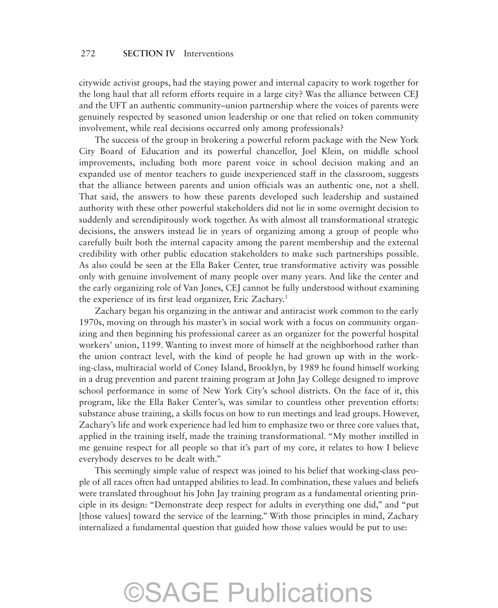#### 272 **SECTION IV** Interventions

citywide activist groups, had the staying power and internal capacity to work together for the long haul that all reform efforts require in a large city? Was the alliance between CEJ and the UFT an authentic community–union partnership where the voices of parents were genuinely respected by seasoned union leadership or one that relied on token community involvement, while real decisions occurred only among professionals?

The success of the group in brokering a powerful reform package with the New York City Board of Education and its powerful chancellor, Joel Klein, on middle school improvements, including both more parent voice in school decision making and an expanded use of mentor teachers to guide inexperienced staff in the classroom, suggests that the alliance between parents and union officials was an authentic one, not a shell. That said, the answers to how these parents developed such leadership and sustained authority with these other powerful stakeholders did not lie in some overnight decision to suddenly and serendipitously work together. As with almost all transformational strategic decisions, the answers instead lie in years of organizing among a group of people who carefully built both the internal capacity among the parent membership and the external credibility with other public education stakeholders to make such partnerships possible. As also could be seen at the Ella Baker Center, true transformative activity was possible only with genuine involvement of many people over many years. And like the center and the early organizing role of Van Jones, CEJ cannot be fully understood without examining the experience of its first lead organizer, Eric Zachary.<sup>3</sup>

Zachary began his organizing in the antiwar and antiracist work common to the early 1970s, moving on through his master's in social work with a focus on community organizing and then beginning his professional career as an organizer for the powerful hospital workers' union, 1199. Wanting to invest more of himself at the neighborhood rather than the union contract level, with the kind of people he had grown up with in the working-class, multiracial world of Coney Island, Brooklyn, by 1989 he found himself working in a drug prevention and parent training program at John Jay College designed to improve school performance in some of New York City's school districts. On the face of it, this program, like the Ella Baker Center's, was similar to countless other prevention efforts: substance abuse training, a skills focus on how to run meetings and lead groups. However, Zachary's life and work experience had led him to emphasize two or three core values that, applied in the training itself, made the training transformational. "My mother instilled in me genuine respect for all people so that it's part of my core, it relates to how I believe everybody deserves to be dealt with."

This seemingly simple value of respect was joined to his belief that working-class people of all races often had untapped abilities to lead. In combination, these values and beliefs were translated throughout his John Jay training program as a fundamental orienting principle in its design: "Demonstrate deep respect for adults in everything one did," and "put [those values] toward the service of the learning." With those principles in mind, Zachary internalized a fundamental question that guided how those values would be put to use: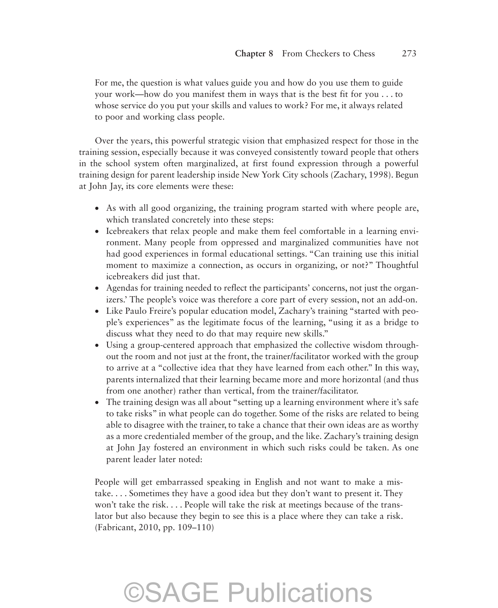For me, the question is what values guide you and how do you use them to guide your work—how do you manifest them in ways that is the best fit for you . . . to whose service do you put your skills and values to work? For me, it always related to poor and working class people.

Over the years, this powerful strategic vision that emphasized respect for those in the training session, especially because it was conveyed consistently toward people that others in the school system often marginalized, at first found expression through a powerful training design for parent leadership inside New York City schools (Zachary, 1998). Begun at John Jay, its core elements were these:

- As with all good organizing, the training program started with where people are, which translated concretely into these steps:
- Icebreakers that relax people and make them feel comfortable in a learning environment. Many people from oppressed and marginalized communities have not had good experiences in formal educational settings. "Can training use this initial moment to maximize a connection, as occurs in organizing, or not?" Thoughtful icebreakers did just that.
- Agendas for training needed to reflect the participants' concerns, not just the organizers.' The people's voice was therefore a core part of every session, not an add-on.
- Like Paulo Freire's popular education model, Zachary's training "started with people's experiences" as the legitimate focus of the learning, "using it as a bridge to discuss what they need to do that may require new skills."
- Using a group-centered approach that emphasized the collective wisdom throughout the room and not just at the front, the trainer/facilitator worked with the group to arrive at a "collective idea that they have learned from each other." In this way, parents internalized that their learning became more and more horizontal (and thus from one another) rather than vertical, from the trainer/facilitator.
- The training design was all about "setting up a learning environment where it's safe to take risks" in what people can do together. Some of the risks are related to being able to disagree with the trainer, to take a chance that their own ideas are as worthy as a more credentialed member of the group, and the like. Zachary's training design at John Jay fostered an environment in which such risks could be taken. As one parent leader later noted:

People will get embarrassed speaking in English and not want to make a mistake. . . . Sometimes they have a good idea but they don't want to present it. They won't take the risk. . . . People will take the risk at meetings because of the translator but also because they begin to see this is a place where they can take a risk. (Fabricant, 2010, pp. 109–110)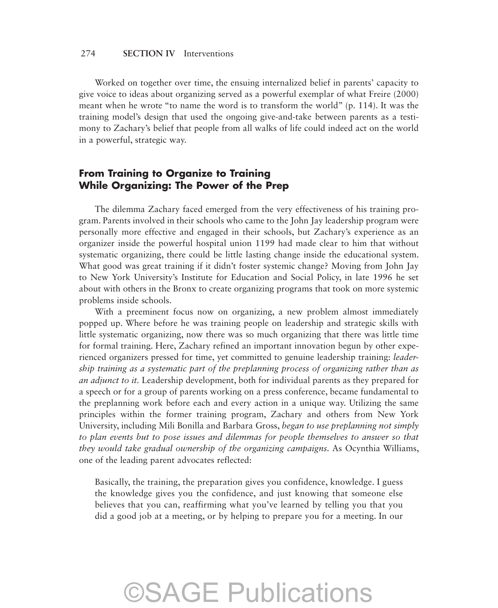#### 274 **SECTION IV** Interventions

Worked on together over time, the ensuing internalized belief in parents' capacity to give voice to ideas about organizing served as a powerful exemplar of what Freire (2000) meant when he wrote "to name the word is to transform the world" (p. 114). It was the training model's design that used the ongoing give-and-take between parents as a testimony to Zachary's belief that people from all walks of life could indeed act on the world in a powerful, strategic way.

#### **From Training to Organize to Training While Organizing: The Power of the Prep**

The dilemma Zachary faced emerged from the very effectiveness of his training program. Parents involved in their schools who came to the John Jay leadership program were personally more effective and engaged in their schools, but Zachary's experience as an organizer inside the powerful hospital union 1199 had made clear to him that without systematic organizing, there could be little lasting change inside the educational system. What good was great training if it didn't foster systemic change? Moving from John Jay to New York University's Institute for Education and Social Policy, in late 1996 he set about with others in the Bronx to create organizing programs that took on more systemic problems inside schools.

With a preeminent focus now on organizing, a new problem almost immediately popped up. Where before he was training people on leadership and strategic skills with little systematic organizing, now there was so much organizing that there was little time for formal training. Here, Zachary refined an important innovation begun by other experienced organizers pressed for time, yet committed to genuine leadership training: *leadership training as a systematic part of the preplanning process of organizing rather than as an adjunct to it.* Leadership development, both for individual parents as they prepared for a speech or for a group of parents working on a press conference, became fundamental to the preplanning work before each and every action in a unique way. Utilizing the same principles within the former training program, Zachary and others from New York University, including Mili Bonilla and Barbara Gross, *began to use preplanning not simply to plan events but to pose issues and dilemmas for people themselves to answer so that they would take gradual ownership of the organizing campaigns.* As Ocynthia Williams, one of the leading parent advocates reflected:

Basically, the training, the preparation gives you confidence, knowledge. I guess the knowledge gives you the confidence, and just knowing that someone else believes that you can, reaffirming what you've learned by telling you that you did a good job at a meeting, or by helping to prepare you for a meeting. In our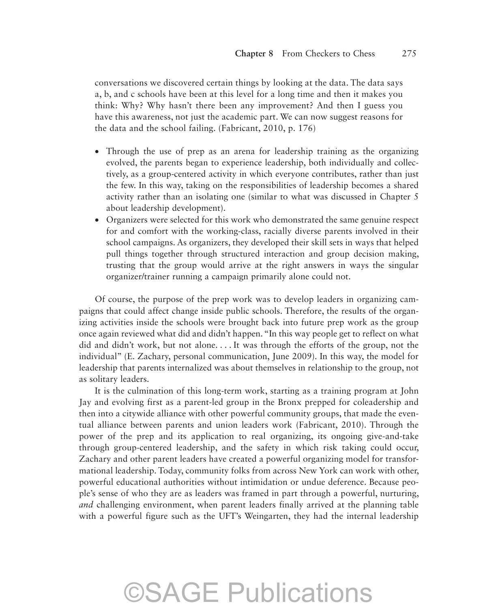conversations we discovered certain things by looking at the data. The data says a, b, and c schools have been at this level for a long time and then it makes you think: Why? Why hasn't there been any improvement? And then I guess you have this awareness, not just the academic part. We can now suggest reasons for the data and the school failing. (Fabricant, 2010, p. 176)

- Through the use of prep as an arena for leadership training as the organizing evolved, the parents began to experience leadership, both individually and collectively, as a group-centered activity in which everyone contributes, rather than just the few. In this way, taking on the responsibilities of leadership becomes a shared activity rather than an isolating one (similar to what was discussed in Chapter 5 about leadership development).
- Organizers were selected for this work who demonstrated the same genuine respect for and comfort with the working-class, racially diverse parents involved in their school campaigns. As organizers, they developed their skill sets in ways that helped pull things together through structured interaction and group decision making, trusting that the group would arrive at the right answers in ways the singular organizer/trainer running a campaign primarily alone could not.

Of course, the purpose of the prep work was to develop leaders in organizing campaigns that could affect change inside public schools. Therefore, the results of the organizing activities inside the schools were brought back into future prep work as the group once again reviewed what did and didn't happen. "In this way people get to reflect on what did and didn't work, but not alone. . . . It was through the efforts of the group, not the individual" (E. Zachary, personal communication, June 2009). In this way, the model for leadership that parents internalized was about themselves in relationship to the group, not as solitary leaders.

It is the culmination of this long-term work, starting as a training program at John Jay and evolving first as a parent-led group in the Bronx prepped for coleadership and then into a citywide alliance with other powerful community groups, that made the eventual alliance between parents and union leaders work (Fabricant, 2010). Through the power of the prep and its application to real organizing, its ongoing give-and-take through group-centered leadership, and the safety in which risk taking could occur, Zachary and other parent leaders have created a powerful organizing model for transformational leadership. Today, community folks from across New York can work with other, powerful educational authorities without intimidation or undue deference. Because people's sense of who they are as leaders was framed in part through a powerful, nurturing, *and* challenging environment, when parent leaders finally arrived at the planning table with a powerful figure such as the UFT's Weingarten, they had the internal leadership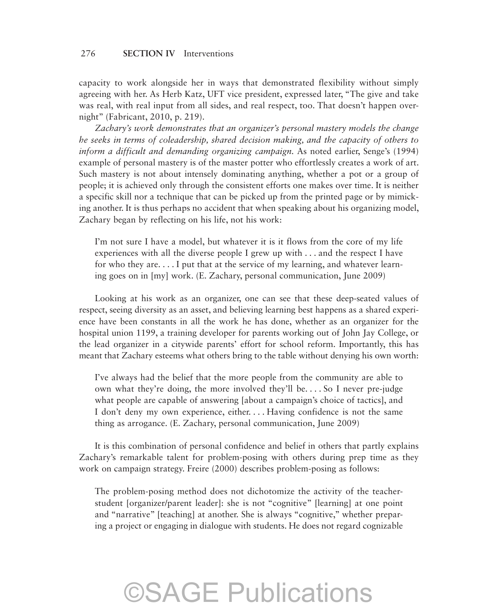capacity to work alongside her in ways that demonstrated flexibility without simply agreeing with her. As Herb Katz, UFT vice president, expressed later, "The give and take was real, with real input from all sides, and real respect, too. That doesn't happen overnight" (Fabricant, 2010, p. 219).

*Zachary's work demonstrates that an organizer's personal mastery models the change he seeks in terms of coleadership, shared decision making, and the capacity of others to inform a difficult and demanding organizing campaign.* As noted earlier, Senge's (1994) example of personal mastery is of the master potter who effortlessly creates a work of art. Such mastery is not about intensely dominating anything, whether a pot or a group of people; it is achieved only through the consistent efforts one makes over time. It is neither a specific skill nor a technique that can be picked up from the printed page or by mimicking another. It is thus perhaps no accident that when speaking about his organizing model, Zachary began by reflecting on his life, not his work:

I'm not sure I have a model, but whatever it is it flows from the core of my life experiences with all the diverse people I grew up with . . . and the respect I have for who they are. . . . I put that at the service of my learning, and whatever learning goes on in [my] work. (E. Zachary, personal communication, June 2009)

Looking at his work as an organizer, one can see that these deep-seated values of respect, seeing diversity as an asset, and believing learning best happens as a shared experience have been constants in all the work he has done, whether as an organizer for the hospital union 1199, a training developer for parents working out of John Jay College, or the lead organizer in a citywide parents' effort for school reform. Importantly, this has meant that Zachary esteems what others bring to the table without denying his own worth:

I've always had the belief that the more people from the community are able to own what they're doing, the more involved they'll be. . . . So I never pre-judge what people are capable of answering [about a campaign's choice of tactics], and I don't deny my own experience, either. . . . Having confidence is not the same thing as arrogance. (E. Zachary, personal communication, June 2009)

It is this combination of personal confidence and belief in others that partly explains Zachary's remarkable talent for problem-posing with others during prep time as they work on campaign strategy. Freire (2000) describes problem-posing as follows:

The problem-posing method does not dichotomize the activity of the teacherstudent [organizer/parent leader]: she is not "cognitive" [learning] at one point and "narrative" [teaching] at another. She is always "cognitive," whether preparing a project or engaging in dialogue with students. He does not regard cognizable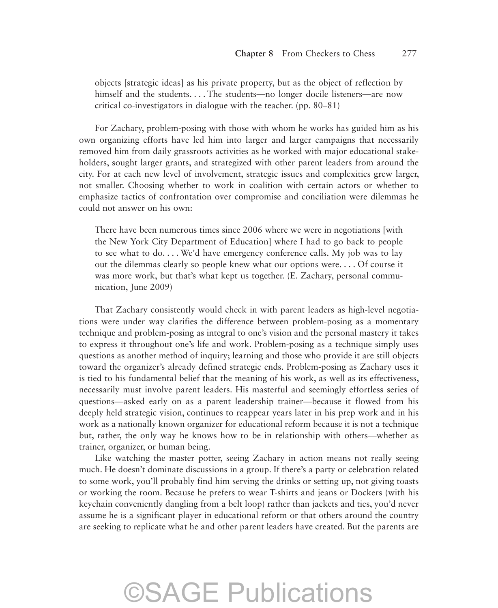objects [strategic ideas] as his private property, but as the object of reflection by himself and the students. . . . The students—no longer docile listeners—are now critical co-investigators in dialogue with the teacher. (pp. 80–81)

For Zachary, problem-posing with those with whom he works has guided him as his own organizing efforts have led him into larger and larger campaigns that necessarily removed him from daily grassroots activities as he worked with major educational stakeholders, sought larger grants, and strategized with other parent leaders from around the city. For at each new level of involvement, strategic issues and complexities grew larger, not smaller. Choosing whether to work in coalition with certain actors or whether to emphasize tactics of confrontation over compromise and conciliation were dilemmas he could not answer on his own:

There have been numerous times since 2006 where we were in negotiations [with the New York City Department of Education] where I had to go back to people to see what to do. . . . We'd have emergency conference calls. My job was to lay out the dilemmas clearly so people knew what our options were. . . . Of course it was more work, but that's what kept us together. (E. Zachary, personal communication, June 2009)

That Zachary consistently would check in with parent leaders as high-level negotiations were under way clarifies the difference between problem-posing as a momentary technique and problem-posing as integral to one's vision and the personal mastery it takes to express it throughout one's life and work. Problem-posing as a technique simply uses questions as another method of inquiry; learning and those who provide it are still objects toward the organizer's already defined strategic ends. Problem-posing as Zachary uses it is tied to his fundamental belief that the meaning of his work, as well as its effectiveness, necessarily must involve parent leaders. His masterful and seemingly effortless series of questions—asked early on as a parent leadership trainer—because it flowed from his deeply held strategic vision, continues to reappear years later in his prep work and in his work as a nationally known organizer for educational reform because it is not a technique but, rather, the only way he knows how to be in relationship with others—whether as trainer, organizer, or human being.

Like watching the master potter, seeing Zachary in action means not really seeing much. He doesn't dominate discussions in a group. If there's a party or celebration related to some work, you'll probably find him serving the drinks or setting up, not giving toasts or working the room. Because he prefers to wear T-shirts and jeans or Dockers (with his keychain conveniently dangling from a belt loop) rather than jackets and ties, you'd never assume he is a significant player in educational reform or that others around the country are seeking to replicate what he and other parent leaders have created. But the parents are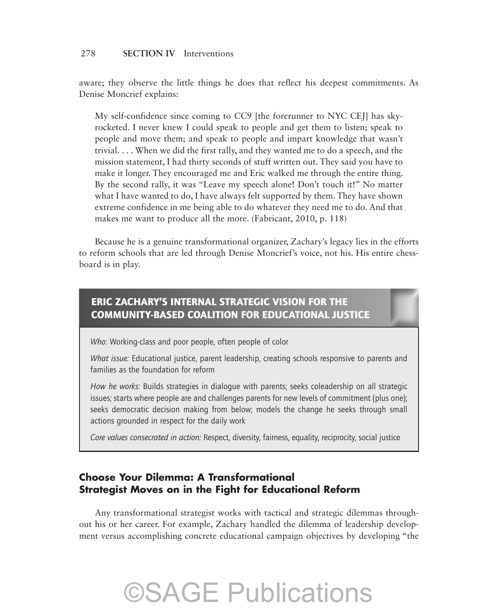aware; they observe the little things he does that reflect his deepest commitments. As Denise Moncrief explains:

My self-confidence since coming to CC9 [the forerunner to NYC CEJ] has skyrocketed. I never knew I could speak to people and get them to listen; speak to people and move them; and speak to people and impart knowledge that wasn't trivial. . . . When we did the first rally, and they wanted me to do a speech, and the mission statement, I had thirty seconds of stuff written out. They said you have to make it longer. They encouraged me and Eric walked me through the entire thing. By the second rally, it was "Leave my speech alone! Don't touch it!" No matter what I have wanted to do, I have always felt supported by them. They have shown extreme confidence in me being able to do whatever they need me to do. And that makes me want to produce all the more. (Fabricant, 2010, p. 118)

Because he is a genuine transformational organizer, Zachary's legacy lies in the efforts to reform schools that are led through Denise Moncrief's voice, not his. His entire chessboard is in play.

### ERIC ZACHARY'S INTERNAL STRATEGIC VISION FOR THE COMMUNITY-BASED COALITION FOR EDUCATIONAL JUSTICE

*Who:* Working-class and poor people, often people of color

*What issue:* Educational justice, parent leadership, creating schools responsive to parents and families as the foundation for reform

*How he works:* Builds strategies in dialogue with parents; seeks coleadership on all strategic issues; starts where people are and challenges parents for new levels of commitment (plus one); seeks democratic decision making from below; models the change he seeks through small actions grounded in respect for the daily work

*Core values consecrated in action:* Respect, diversity, fairness, equality, reciprocity, social justice

#### **Choose Your Dilemma: A Transformational Strategist Moves on in the Fight for Educational Reform**

Any transformational strategist works with tactical and strategic dilemmas throughout his or her career. For example, Zachary handled the dilemma of leadership development versus accomplishing concrete educational campaign objectives by developing "the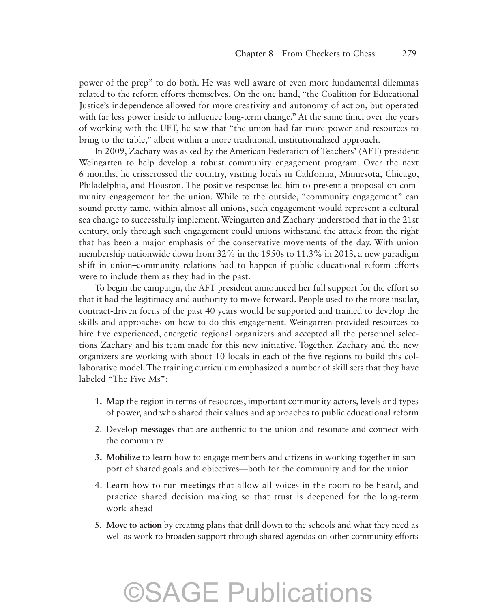power of the prep" to do both. He was well aware of even more fundamental dilemmas related to the reform efforts themselves. On the one hand, "the Coalition for Educational Justice's independence allowed for more creativity and autonomy of action, but operated with far less power inside to influence long-term change." At the same time, over the years of working with the UFT, he saw that "the union had far more power and resources to bring to the table," albeit within a more traditional, institutionalized approach.

In 2009, Zachary was asked by the American Federation of Teachers' (AFT) president Weingarten to help develop a robust community engagement program. Over the next 6 months, he crisscrossed the country, visiting locals in California, Minnesota, Chicago, Philadelphia, and Houston. The positive response led him to present a proposal on community engagement for the union. While to the outside, "community engagement" can sound pretty tame, within almost all unions, such engagement would represent a cultural sea change to successfully implement. Weingarten and Zachary understood that in the 21st century, only through such engagement could unions withstand the attack from the right that has been a major emphasis of the conservative movements of the day. With union membership nationwide down from 32% in the 1950s to 11.3% in 2013, a new paradigm shift in union–community relations had to happen if public educational reform efforts were to include them as they had in the past.

To begin the campaign, the AFT president announced her full support for the effort so that it had the legitimacy and authority to move forward. People used to the more insular, contract-driven focus of the past 40 years would be supported and trained to develop the skills and approaches on how to do this engagement. Weingarten provided resources to hire five experienced, energetic regional organizers and accepted all the personnel selections Zachary and his team made for this new initiative. Together, Zachary and the new organizers are working with about 10 locals in each of the five regions to build this collaborative model. The training curriculum emphasized a number of skill sets that they have labeled "The Five Ms":

- **1. Map** the region in terms of resources, important community actors, levels and types of power, and who shared their values and approaches to public educational reform
- 2. Develop **messages** that are authentic to the union and resonate and connect with the community
- **3. Mobilize** to learn how to engage members and citizens in working together in support of shared goals and objectives—both for the community and for the union
- 4. Learn how to run **meetings** that allow all voices in the room to be heard, and practice shared decision making so that trust is deepened for the long-term work ahead
- **5. Move to action** by creating plans that drill down to the schools and what they need as well as work to broaden support through shared agendas on other community efforts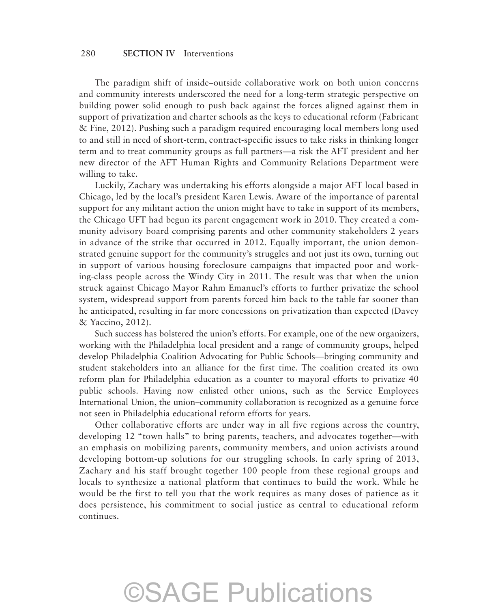The paradigm shift of inside–outside collaborative work on both union concerns and community interests underscored the need for a long-term strategic perspective on building power solid enough to push back against the forces aligned against them in support of privatization and charter schools as the keys to educational reform (Fabricant & Fine, 2012). Pushing such a paradigm required encouraging local members long used to and still in need of short-term, contract-specific issues to take risks in thinking longer term and to treat community groups as full partners—a risk the AFT president and her new director of the AFT Human Rights and Community Relations Department were willing to take.

Luckily, Zachary was undertaking his efforts alongside a major AFT local based in Chicago, led by the local's president Karen Lewis. Aware of the importance of parental support for any militant action the union might have to take in support of its members, the Chicago UFT had begun its parent engagement work in 2010. They created a community advisory board comprising parents and other community stakeholders 2 years in advance of the strike that occurred in 2012. Equally important, the union demonstrated genuine support for the community's struggles and not just its own, turning out in support of various housing foreclosure campaigns that impacted poor and working-class people across the Windy City in 2011. The result was that when the union struck against Chicago Mayor Rahm Emanuel's efforts to further privatize the school system, widespread support from parents forced him back to the table far sooner than he anticipated, resulting in far more concessions on privatization than expected (Davey & Yaccino, 2012).

Such success has bolstered the union's efforts. For example, one of the new organizers, working with the Philadelphia local president and a range of community groups, helped develop Philadelphia Coalition Advocating for Public Schools—bringing community and student stakeholders into an alliance for the first time. The coalition created its own reform plan for Philadelphia education as a counter to mayoral efforts to privatize 40 public schools. Having now enlisted other unions, such as the Service Employees International Union, the union–community collaboration is recognized as a genuine force not seen in Philadelphia educational reform efforts for years.

Other collaborative efforts are under way in all five regions across the country, developing 12 "town halls" to bring parents, teachers, and advocates together—with an emphasis on mobilizing parents, community members, and union activists around developing bottom-up solutions for our struggling schools. In early spring of 2013, Zachary and his staff brought together 100 people from these regional groups and locals to synthesize a national platform that continues to build the work. While he would be the first to tell you that the work requires as many doses of patience as it does persistence, his commitment to social justice as central to educational reform continues.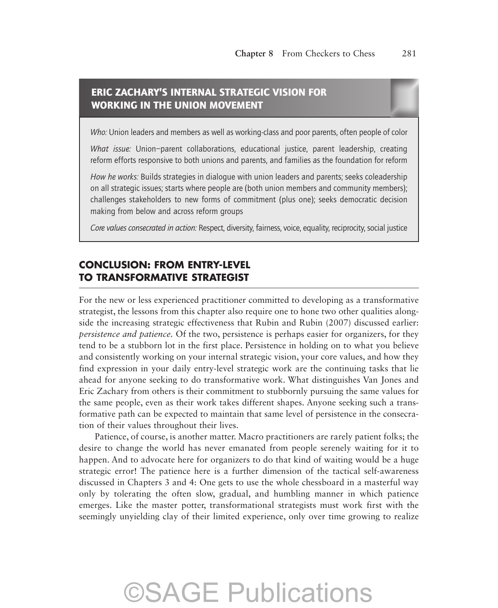### ERIC ZACHARY'S INTERNAL STRATEGIC VISION FOR WORKING IN THE UNION MOVEMENT

*Who:* Union leaders and members as well as working-class and poor parents, often people of color

*What issue:* Union–parent collaborations, educational justice, parent leadership, creating reform efforts responsive to both unions and parents, and families as the foundation for reform

*How he works:* Builds strategies in dialogue with union leaders and parents; seeks coleadership on all strategic issues; starts where people are (both union members and community members); challenges stakeholders to new forms of commitment (plus one); seeks democratic decision making from below and across reform groups

*Core values consecrated in action:* Respect, diversity, fairness, voice, equality, reciprocity, social justice

### **CONCLUSION: FROM ENTRY-LEVEL TO TRANSFORMATIVE STRATEGIST**

For the new or less experienced practitioner committed to developing as a transformative strategist, the lessons from this chapter also require one to hone two other qualities alongside the increasing strategic effectiveness that Rubin and Rubin (2007) discussed earlier: *persistence and patience.* Of the two, persistence is perhaps easier for organizers, for they tend to be a stubborn lot in the first place. Persistence in holding on to what you believe and consistently working on your internal strategic vision, your core values, and how they find expression in your daily entry-level strategic work are the continuing tasks that lie ahead for anyone seeking to do transformative work. What distinguishes Van Jones and Eric Zachary from others is their commitment to stubbornly pursuing the same values for the same people, even as their work takes different shapes. Anyone seeking such a transformative path can be expected to maintain that same level of persistence in the consecration of their values throughout their lives.

Patience, of course, is another matter. Macro practitioners are rarely patient folks; the desire to change the world has never emanated from people serenely waiting for it to happen. And to advocate here for organizers to do that kind of waiting would be a huge strategic error! The patience here is a further dimension of the tactical self-awareness discussed in Chapters 3 and 4: One gets to use the whole chessboard in a masterful way only by tolerating the often slow, gradual, and humbling manner in which patience emerges. Like the master potter, transformational strategists must work first with the seemingly unyielding clay of their limited experience, only over time growing to realize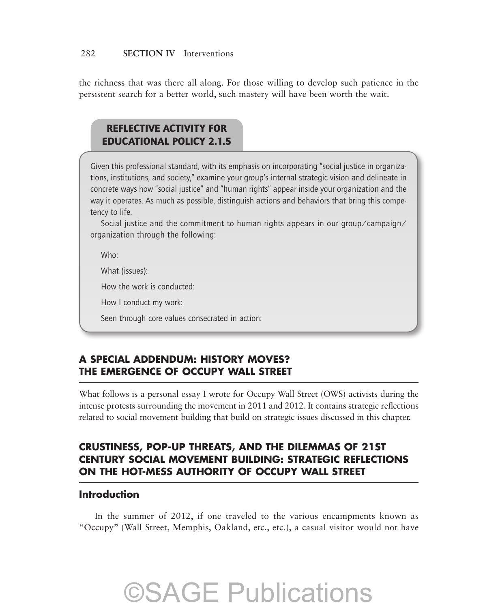the richness that was there all along. For those willing to develop such patience in the persistent search for a better world, such mastery will have been worth the wait.

### REFLECTIVE ACTIVITY FOR EDUCATIONAL POLICY 2.1.5

Given this professional standard, with its emphasis on incorporating "social justice in organizations, institutions, and society," examine your group's internal strategic vision and delineate in concrete ways how "social justice" and "human rights" appear inside your organization and the way it operates. As much as possible, distinguish actions and behaviors that bring this competency to life.

Social justice and the commitment to human rights appears in our group/campaign/ organization through the following:

Who:

What (issues):

How the work is conducted:

How I conduct my work:

Seen through core values consecrated in action:

### **A SPECIAL ADDENDUM: HISTORY MOVES? THE EMERGENCE OF OCCUPY WALL STREET**

What follows is a personal essay I wrote for Occupy Wall Street (OWS) activists during the intense protests surrounding the movement in 2011 and 2012. It contains strategic reflections related to social movement building that build on strategic issues discussed in this chapter.

### **CRUSTINESS, POP-UP THREATS, AND THE DILEMMAS OF 21ST CENTURY SOCIAL MOVEMENT BUILDING: STRATEGIC REFLECTIONS ON THE HOT-MESS AUTHORITY OF OCCUPY WALL STREET**

#### **Introduction**

In the summer of 2012, if one traveled to the various encampments known as "Occupy" (Wall Street, Memphis, Oakland, etc., etc.), a casual visitor would not have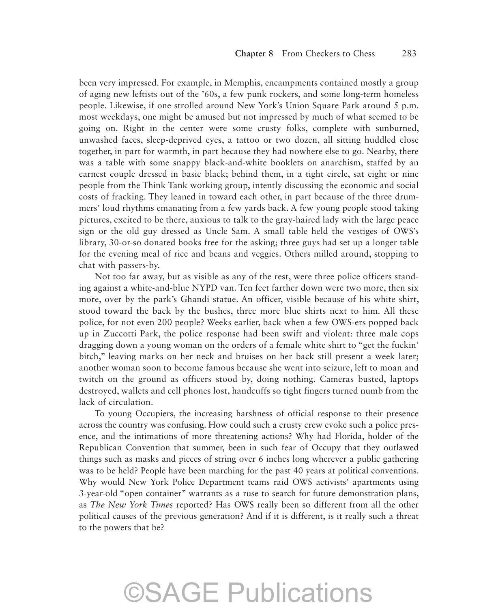been very impressed. For example, in Memphis, encampments contained mostly a group of aging new leftists out of the '60s, a few punk rockers, and some long-term homeless people. Likewise, if one strolled around New York's Union Square Park around 5 p.m. most weekdays, one might be amused but not impressed by much of what seemed to be going on. Right in the center were some crusty folks, complete with sunburned, unwashed faces, sleep-deprived eyes, a tattoo or two dozen, all sitting huddled close together, in part for warmth, in part because they had nowhere else to go. Nearby, there was a table with some snappy black-and-white booklets on anarchism, staffed by an earnest couple dressed in basic black; behind them, in a tight circle, sat eight or nine people from the Think Tank working group, intently discussing the economic and social costs of fracking. They leaned in toward each other, in part because of the three drummers' loud rhythms emanating from a few yards back. A few young people stood taking pictures, excited to be there, anxious to talk to the gray-haired lady with the large peace sign or the old guy dressed as Uncle Sam. A small table held the vestiges of OWS's library, 30-or-so donated books free for the asking; three guys had set up a longer table for the evening meal of rice and beans and veggies. Others milled around, stopping to chat with passers-by.

Not too far away, but as visible as any of the rest, were three police officers standing against a white-and-blue NYPD van. Ten feet farther down were two more, then six more, over by the park's Ghandi statue. An officer, visible because of his white shirt, stood toward the back by the bushes, three more blue shirts next to him. All these police, for not even 200 people? Weeks earlier, back when a few OWS-ers popped back up in Zuccotti Park, the police response had been swift and violent: three male cops dragging down a young woman on the orders of a female white shirt to "get the fuckin' bitch," leaving marks on her neck and bruises on her back still present a week later; another woman soon to become famous because she went into seizure, left to moan and twitch on the ground as officers stood by, doing nothing. Cameras busted, laptops destroyed, wallets and cell phones lost, handcuffs so tight fingers turned numb from the lack of circulation.

To young Occupiers, the increasing harshness of official response to their presence across the country was confusing. How could such a crusty crew evoke such a police presence, and the intimations of more threatening actions? Why had Florida, holder of the Republican Convention that summer, been in such fear of Occupy that they outlawed things such as masks and pieces of string over 6 inches long wherever a public gathering was to be held? People have been marching for the past 40 years at political conventions. Why would New York Police Department teams raid OWS activists' apartments using 3-year-old "open container" warrants as a ruse to search for future demonstration plans, as *The New York Times* reported? Has OWS really been so different from all the other political causes of the previous generation? And if it is different, is it really such a threat to the powers that be?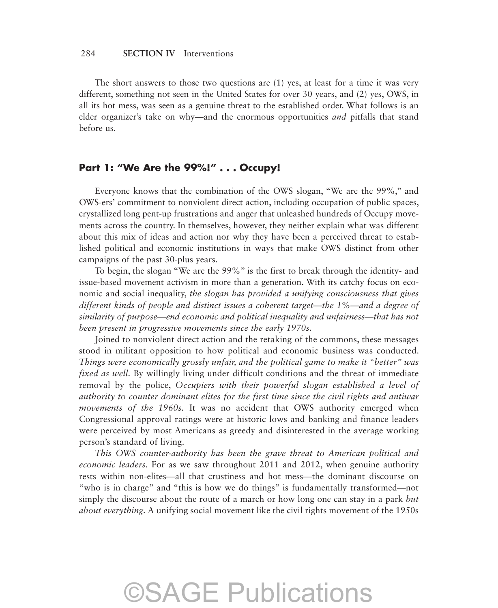The short answers to those two questions are (1) yes, at least for a time it was very different, something not seen in the United States for over 30 years, and (2) yes, OWS, in all its hot mess, was seen as a genuine threat to the established order. What follows is an elder organizer's take on why—and the enormous opportunities *and* pitfalls that stand before us.

#### **Part 1: "We Are the 99%!" . . . Occupy!**

Everyone knows that the combination of the OWS slogan, "We are the 99%," and OWS-ers' commitment to nonviolent direct action, including occupation of public spaces, crystallized long pent-up frustrations and anger that unleashed hundreds of Occupy movements across the country. In themselves, however, they neither explain what was different about this mix of ideas and action nor why they have been a perceived threat to established political and economic institutions in ways that make OWS distinct from other campaigns of the past 30-plus years.

To begin, the slogan "We are the 99%" is the first to break through the identity- and issue-based movement activism in more than a generation. With its catchy focus on economic and social inequality, *the slogan has provided a unifying consciousness that gives different kinds of people and distinct issues a coherent target—the 1%—and a degree of similarity of purpose—end economic and political inequality and unfairness—that has not been present in progressive movements since the early 1970s.*

Joined to nonviolent direct action and the retaking of the commons, these messages stood in militant opposition to how political and economic business was conducted. *Things were economically grossly unfair, and the political game to make it "better" was fixed as well.* By willingly living under difficult conditions and the threat of immediate removal by the police, *Occupiers with their powerful slogan established a level of authority to counter dominant elites for the first time since the civil rights and antiwar movements of the 1960s.* It was no accident that OWS authority emerged when Congressional approval ratings were at historic lows and banking and finance leaders were perceived by most Americans as greedy and disinterested in the average working person's standard of living.

*This OWS counter-authority has been the grave threat to American political and economic leaders.* For as we saw throughout 2011 and 2012, when genuine authority rests within non-elites—all that crustiness and hot mess—the dominant discourse on "who is in charge" and "this is how we do things" is fundamentally transformed—not simply the discourse about the route of a march or how long one can stay in a park *but about everything.* A unifying social movement like the civil rights movement of the 1950s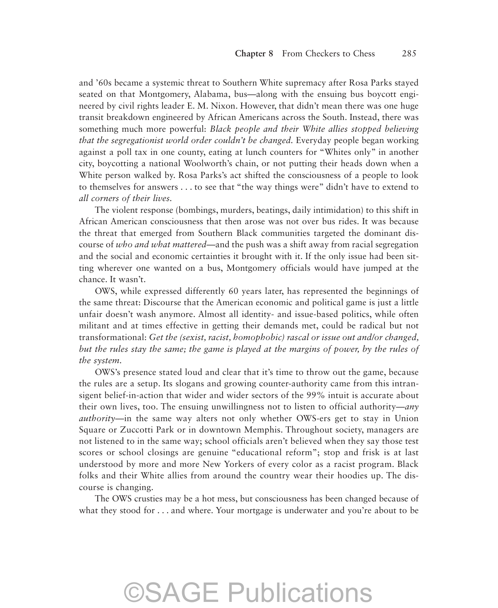and '60s became a systemic threat to Southern White supremacy after Rosa Parks stayed seated on that Montgomery, Alabama, bus—along with the ensuing bus boycott engineered by civil rights leader E. M. Nixon. However, that didn't mean there was one huge transit breakdown engineered by African Americans across the South. Instead, there was something much more powerful: *Black people and their White allies stopped believing that the segregationist world order couldn't be changed.* Everyday people began working against a poll tax in one county, eating at lunch counters for "Whites only" in another city, boycotting a national Woolworth's chain, or not putting their heads down when a White person walked by. Rosa Parks's act shifted the consciousness of a people to look to themselves for answers . . . to see that "the way things were" didn't have to extend to *all corners of their lives.*

The violent response (bombings, murders, beatings, daily intimidation) to this shift in African American consciousness that then arose was not over bus rides. It was because the threat that emerged from Southern Black communities targeted the dominant discourse of *who and what mattered*—and the push was a shift away from racial segregation and the social and economic certainties it brought with it. If the only issue had been sitting wherever one wanted on a bus, Montgomery officials would have jumped at the chance. It wasn't.

OWS, while expressed differently 60 years later, has represented the beginnings of the same threat: Discourse that the American economic and political game is just a little unfair doesn't wash anymore. Almost all identity- and issue-based politics, while often militant and at times effective in getting their demands met, could be radical but not transformational: *Get the (sexist, racist, homophobic) rascal or issue out and/or changed, but the rules stay the same; the game is played at the margins of power, by the rules of the system.*

OWS's presence stated loud and clear that it's time to throw out the game, because the rules are a setup. Its slogans and growing counter-authority came from this intransigent belief-in-action that wider and wider sectors of the 99% intuit is accurate about their own lives, too. The ensuing unwillingness not to listen to official authority—*any authority*—in the same way alters not only whether OWS-ers get to stay in Union Square or Zuccotti Park or in downtown Memphis. Throughout society, managers are not listened to in the same way; school officials aren't believed when they say those test scores or school closings are genuine "educational reform"; stop and frisk is at last understood by more and more New Yorkers of every color as a racist program. Black folks and their White allies from around the country wear their hoodies up. The discourse is changing.

The OWS crusties may be a hot mess, but consciousness has been changed because of what they stood for . . . and where. Your mortgage is underwater and you're about to be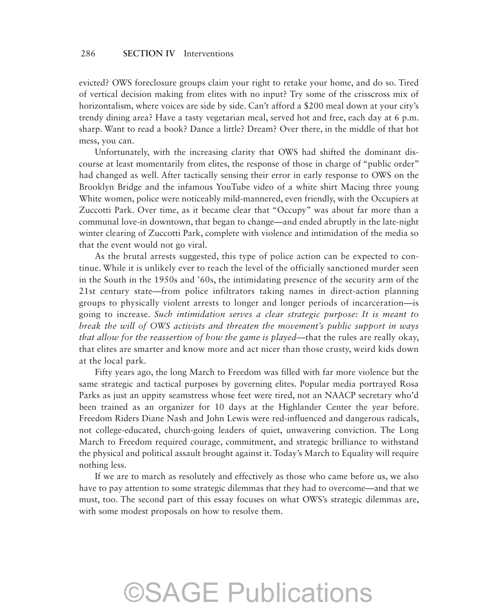evicted? OWS foreclosure groups claim your right to retake your home, and do so. Tired of vertical decision making from elites with no input? Try some of the crisscross mix of horizontalism, where voices are side by side. Can't afford a \$200 meal down at your city's trendy dining area? Have a tasty vegetarian meal, served hot and free, each day at 6 p.m. sharp. Want to read a book? Dance a little? Dream? Over there, in the middle of that hot mess, you can.

Unfortunately, with the increasing clarity that OWS had shifted the dominant discourse at least momentarily from elites, the response of those in charge of "public order" had changed as well. After tactically sensing their error in early response to OWS on the Brooklyn Bridge and the infamous YouTube video of a white shirt Macing three young White women, police were noticeably mild-mannered, even friendly, with the Occupiers at Zuccotti Park. Over time, as it became clear that "Occupy" was about far more than a communal love-in downtown, that began to change—and ended abruptly in the late-night winter clearing of Zuccotti Park, complete with violence and intimidation of the media so that the event would not go viral.

As the brutal arrests suggested, this type of police action can be expected to continue. While it is unlikely ever to reach the level of the officially sanctioned murder seen in the South in the 1950s and '60s, the intimidating presence of the security arm of the 21st century state—from police infiltrators taking names in direct-action planning groups to physically violent arrests to longer and longer periods of incarceration—is going to increase. *Such intimidation serves a clear strategic purpose: It is meant to break the will of OWS activists and threaten the movement's public support in ways that allow for the reassertion of how the game is played*—that the rules are really okay, that elites are smarter and know more and act nicer than those crusty, weird kids down at the local park.

Fifty years ago, the long March to Freedom was filled with far more violence but the same strategic and tactical purposes by governing elites. Popular media portrayed Rosa Parks as just an uppity seamstress whose feet were tired, not an NAACP secretary who'd been trained as an organizer for 10 days at the Highlander Center the year before. Freedom Riders Diane Nash and John Lewis were red-influenced and dangerous radicals, not college-educated, church-going leaders of quiet, unwavering conviction. The Long March to Freedom required courage, commitment, and strategic brilliance to withstand the physical and political assault brought against it. Today's March to Equality will require nothing less.

If we are to march as resolutely and effectively as those who came before us, we also have to pay attention to some strategic dilemmas that they had to overcome—and that we must, too. The second part of this essay focuses on what OWS's strategic dilemmas are, with some modest proposals on how to resolve them.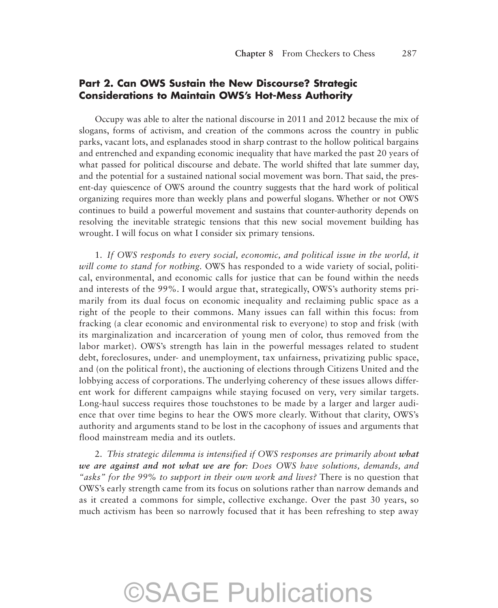#### **Part 2. Can OWS Sustain the New Discourse? Strategic Considerations to Maintain OWS's Hot-Mess Authority**

Occupy was able to alter the national discourse in 2011 and 2012 because the mix of slogans, forms of activism, and creation of the commons across the country in public parks, vacant lots, and esplanades stood in sharp contrast to the hollow political bargains and entrenched and expanding economic inequality that have marked the past 20 years of what passed for political discourse and debate. The world shifted that late summer day, and the potential for a sustained national social movement was born. That said, the present-day quiescence of OWS around the country suggests that the hard work of political organizing requires more than weekly plans and powerful slogans. Whether or not OWS continues to build a powerful movement and sustains that counter-authority depends on resolving the inevitable strategic tensions that this new social movement building has wrought. I will focus on what I consider six primary tensions.

1. *If OWS responds to every social, economic, and political issue in the world, it will come to stand for nothing.* OWS has responded to a wide variety of social, political, environmental, and economic calls for justice that can be found within the needs and interests of the 99%. I would argue that, strategically, OWS's authority stems primarily from its dual focus on economic inequality and reclaiming public space as a right of the people to their commons. Many issues can fall within this focus: from fracking (a clear economic and environmental risk to everyone) to stop and frisk (with its marginalization and incarceration of young men of color, thus removed from the labor market). OWS's strength has lain in the powerful messages related to student debt, foreclosures, under- and unemployment, tax unfairness, privatizing public space, and (on the political front), the auctioning of elections through Citizens United and the lobbying access of corporations. The underlying coherency of these issues allows different work for different campaigns while staying focused on very, very similar targets. Long-haul success requires those touchstones to be made by a larger and larger audience that over time begins to hear the OWS more clearly. Without that clarity, OWS's authority and arguments stand to be lost in the cacophony of issues and arguments that flood mainstream media and its outlets.

2. *This strategic dilemma is intensified if OWS responses are primarily about what we are against and not what we are for: Does OWS have solutions, demands, and "asks" for the 99% to support in their own work and lives?* There is no question that OWS's early strength came from its focus on solutions rather than narrow demands and as it created a commons for simple, collective exchange. Over the past 30 years, so much activism has been so narrowly focused that it has been refreshing to step away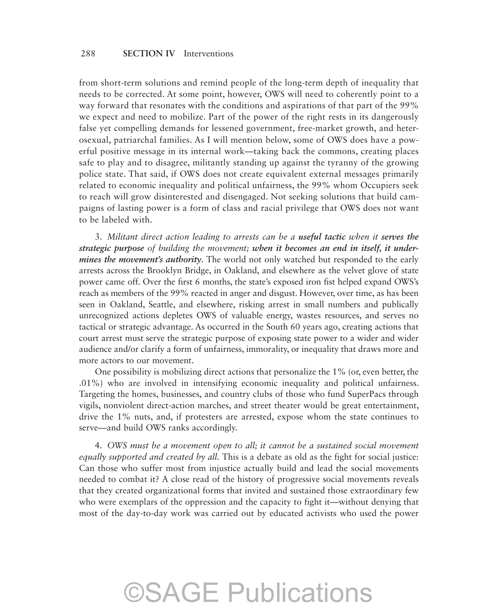from short-term solutions and remind people of the long-term depth of inequality that needs to be corrected. At some point, however, OWS will need to coherently point to a way forward that resonates with the conditions and aspirations of that part of the 99% we expect and need to mobilize. Part of the power of the right rests in its dangerously false yet compelling demands for lessened government, free-market growth, and heterosexual, patriarchal families. As I will mention below, some of OWS does have a powerful positive message in its internal work—taking back the commons, creating places safe to play and to disagree, militantly standing up against the tyranny of the growing police state. That said, if OWS does not create equivalent external messages primarily related to economic inequality and political unfairness, the 99% whom Occupiers seek to reach will grow disinterested and disengaged. Not seeking solutions that build campaigns of lasting power is a form of class and racial privilege that OWS does not want to be labeled with.

3. *Militant direct action leading to arrests can be a useful tactic when it serves the strategic purpose of building the movement; when it becomes an end in itself, it undermines the movement's authority.* The world not only watched but responded to the early arrests across the Brooklyn Bridge, in Oakland, and elsewhere as the velvet glove of state power came off. Over the first 6 months, the state's exposed iron fist helped expand OWS's reach as members of the 99% reacted in anger and disgust. However, over time, as has been seen in Oakland, Seattle, and elsewhere, risking arrest in small numbers and publically unrecognized actions depletes OWS of valuable energy, wastes resources, and serves no tactical or strategic advantage. As occurred in the South 60 years ago, creating actions that court arrest must serve the strategic purpose of exposing state power to a wider and wider audience and/or clarify a form of unfairness, immorality, or inequality that draws more and more actors to our movement.

One possibility is mobilizing direct actions that personalize the 1% (or, even better, the .01%) who are involved in intensifying economic inequality and political unfairness. Targeting the homes, businesses, and country clubs of those who fund SuperPacs through vigils, nonviolent direct-action marches, and street theater would be great entertainment, drive the 1% nuts, and, if protesters are arrested, expose whom the state continues to serve—and build OWS ranks accordingly.

4. *OWS must be a movement open to all; it cannot be a sustained social movement equally supported and created by all.* This is a debate as old as the fight for social justice: Can those who suffer most from injustice actually build and lead the social movements needed to combat it? A close read of the history of progressive social movements reveals that they created organizational forms that invited and sustained those extraordinary few who were exemplars of the oppression and the capacity to fight it—without denying that most of the day-to-day work was carried out by educated activists who used the power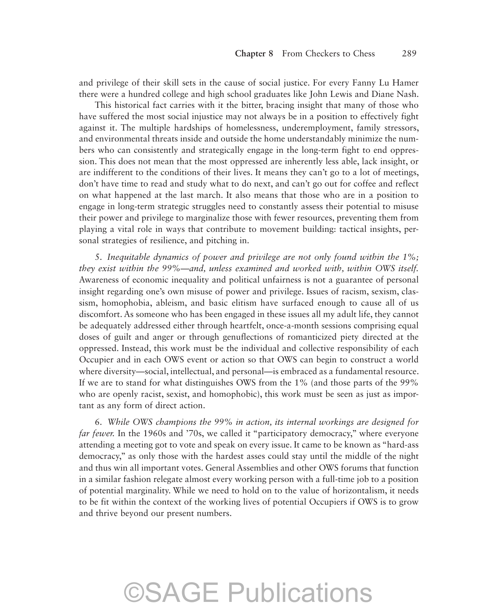and privilege of their skill sets in the cause of social justice. For every Fanny Lu Hamer there were a hundred college and high school graduates like John Lewis and Diane Nash.

This historical fact carries with it the bitter, bracing insight that many of those who have suffered the most social injustice may not always be in a position to effectively fight against it. The multiple hardships of homelessness, underemployment, family stressors, and environmental threats inside and outside the home understandably minimize the numbers who can consistently and strategically engage in the long-term fight to end oppression. This does not mean that the most oppressed are inherently less able, lack insight, or are indifferent to the conditions of their lives. It means they can't go to a lot of meetings, don't have time to read and study what to do next, and can't go out for coffee and reflect on what happened at the last march. It also means that those who are in a position to engage in long-term strategic struggles need to constantly assess their potential to misuse their power and privilege to marginalize those with fewer resources, preventing them from playing a vital role in ways that contribute to movement building: tactical insights, personal strategies of resilience, and pitching in.

5. *Inequitable dynamics of power and privilege are not only found within the 1%; they exist within the 99%—and, unless examined and worked with, within OWS itself.* Awareness of economic inequality and political unfairness is not a guarantee of personal insight regarding one's own misuse of power and privilege. Issues of racism, sexism, classism, homophobia, ableism, and basic elitism have surfaced enough to cause all of us discomfort. As someone who has been engaged in these issues all my adult life, they cannot be adequately addressed either through heartfelt, once-a-month sessions comprising equal doses of guilt and anger or through genuflections of romanticized piety directed at the oppressed. Instead, this work must be the individual and collective responsibility of each Occupier and in each OWS event or action so that OWS can begin to construct a world where diversity—social, intellectual, and personal—is embraced as a fundamental resource. If we are to stand for what distinguishes OWS from the 1% (and those parts of the 99% who are openly racist, sexist, and homophobic), this work must be seen as just as important as any form of direct action.

6. *While OWS champions the 99% in action, its internal workings are designed for far fewer.* In the 1960s and '70s, we called it "participatory democracy," where everyone attending a meeting got to vote and speak on every issue. It came to be known as "hard-ass democracy," as only those with the hardest asses could stay until the middle of the night and thus win all important votes. General Assemblies and other OWS forums that function in a similar fashion relegate almost every working person with a full-time job to a position of potential marginality. While we need to hold on to the value of horizontalism, it needs to be fit within the context of the working lives of potential Occupiers if OWS is to grow and thrive beyond our present numbers.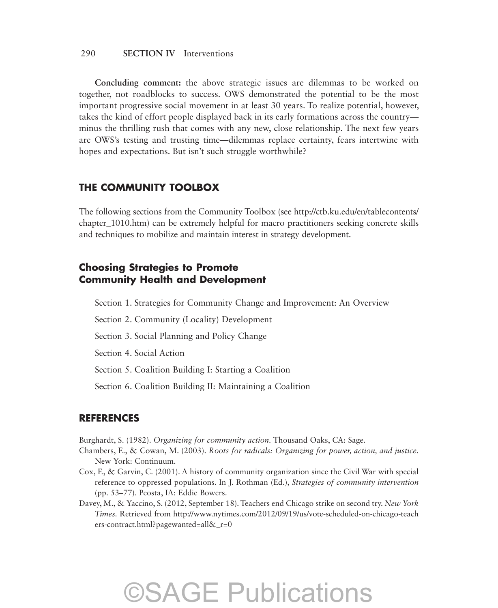**Concluding comment:** the above strategic issues are dilemmas to be worked on together, not roadblocks to success. OWS demonstrated the potential to be the most important progressive social movement in at least 30 years. To realize potential, however, takes the kind of effort people displayed back in its early formations across the country minus the thrilling rush that comes with any new, close relationship. The next few years are OWS's testing and trusting time—dilemmas replace certainty, fears intertwine with hopes and expectations. But isn't such struggle worthwhile?

#### **THE COMMUNITY TOOLBOX**

The following sections from the Community Toolbox (see http://ctb.ku.edu/en/tablecontents/ chapter\_1010.htm) can be extremely helpful for macro practitioners seeking concrete skills and techniques to mobilize and maintain interest in strategy development.

#### **Choosing Strategies to Promote Community Health and Development**

Section 1. Strategies for Community Change and Improvement: An Overview

Section 2. Community (Locality) Development

Section 3. Social Planning and Policy Change

Section 4. Social Action

Section 5. Coalition Building I: Starting a Coalition

Section 6. Coalition Building II: Maintaining a Coalition

#### **REFERENCES**

Burghardt, S. (1982). *Organizing for community action.* Thousand Oaks, CA: Sage.

- Chambers, E., & Cowan, M. (2003). *Roots for radicals: Organizing for power, action, and justice.* New York: Continuum.
- Cox, F., & Garvin, C. (2001). A history of community organization since the Civil War with special reference to oppressed populations. In J. Rothman (Ed.), *Strategies of community intervention* (pp. 53–77). Peosta, IA: Eddie Bowers.
- Davey, M., & Yaccino, S. (2012, September 18). Teachers end Chicago strike on second try. *New York Times.* Retrieved from http://www.nytimes.com/2012/09/19/us/vote-scheduled-on-chicago-teach ers-contract.html?pagewanted=all&\_r=0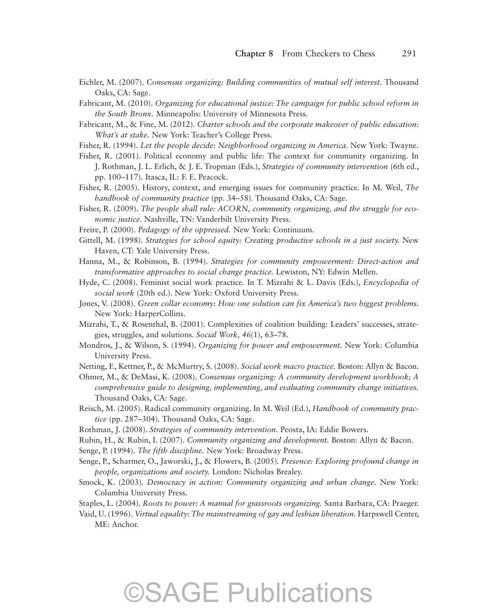- Eichler, M. (2007). *Consensus organizing: Building communities of mutual self interest.* Thousand Oaks, CA: Sage.
- Fabricant, M. (2010). *Organizing for educational justice: The campaign for public school reform in the South Bronx.* Minneapolis: University of Minnesota Press.
- Fabricant, M., & Fine, M. (2012). *Charter schools and the corporate makeover of public education: What's at stake.* New York: Teacher's College Press.
- Fisher, R. (1994). *Let the people decide: Neighborhood organizing in America.* New York: Twayne.
- Fisher, R. (2001). Political economy and public life: The context for community organizing. In J. Rothman, J. L. Erlich, & J. E. Tropman (Eds.), *Strategies of community intervention* (6th ed., pp. 100–117)*.* Itasca, IL: F. E. Peacock.
- Fisher, R. (2005). History, context, and emerging issues for community practice. In M. Weil, *The handbook of community practice* (pp. 34–58). Thousand Oaks, CA: Sage.
- Fisher, R. (2009). *The people shall rule: ACORN, community organizing, and the struggle for economic justice.* Nashville, TN: Vanderbilt University Press.
- Freire, P. (2000). *Pedagogy of the oppressed.* New York: Continuum.
- Gittell, M. (1998). *Strategies for school equity: Creating productive schools in a just society*. New Haven, CT: Yale University Press.
- Hanna, M., & Robinson, B. (1994). *Strategies for community empowerment: Direct-action and transformative approaches to social change practice.* Lewiston, NY: Edwin Mellen.
- Hyde, C. (2008). Feminist social work practice*.* In T. Mizrahi & L. Davis (Eds.), *Encyclopedia of social work* (20th ed.). New York: Oxford University Press.
- Jones, V. (2008). *Green collar economy: How one solution can fix America's two biggest problems.*  New York: HarperCollins.
- Mizrahi, T., & Rosenthal, B. (2001). Complexities of coalition building: Leaders' successes, strategies, struggles, and solutions. *Social Work, 46*(1), 63–78.
- Mondros, J., & Wilson, S. (1994). *Organizing for power and empowerment.* New York: Columbia University Press.
- Netting, F., Kettner, P., & McMurtry, S. (2008). *Social work macro practice.* Boston: Allyn & Bacon.
- Ohmer, M., & DeMasi, K. (2008). *Consensus organizing: A community development workbook; A comprehensive guide to designing, implementing, and evaluating community change initiatives.* Thousand Oaks, CA: Sage.
- Reisch, M. (2005). Radical community organizing. In M. Weil (Ed.), *Handbook of community practice* (pp. 287–304)*.* Thousand Oaks, CA: Sage.
- Rothman, J. (2008). *Strategies of community intervention.* Peosta, IA: Eddie Bowers.
- Rubin, H., & Rubin, I. (2007). *Community organizing and development.* Boston: Allyn & Bacon. Senge, P. (1994). *The fifth discipline.* New York: Broadway Press.
- Senge, P., Scharmer, O., Jaworski, J., & Flowers, B. (2005)*. Presence: Exploring profound change in people, organizations and society.* London: Nicholas Brealey.
- Smock, K. (2003). *Democracy in action: Community organizing and urban change.* New York: Columbia University Press.
- Staples, L. (2004). *Roots to power: A manual for grassroots organizing.* Santa Barbara, CA: Praeger.
- Vaid, U. (1996). *Virtual equality: The mainstreaming of gay and lesbian liberation.* Harpswell Center, ME: Anchor.